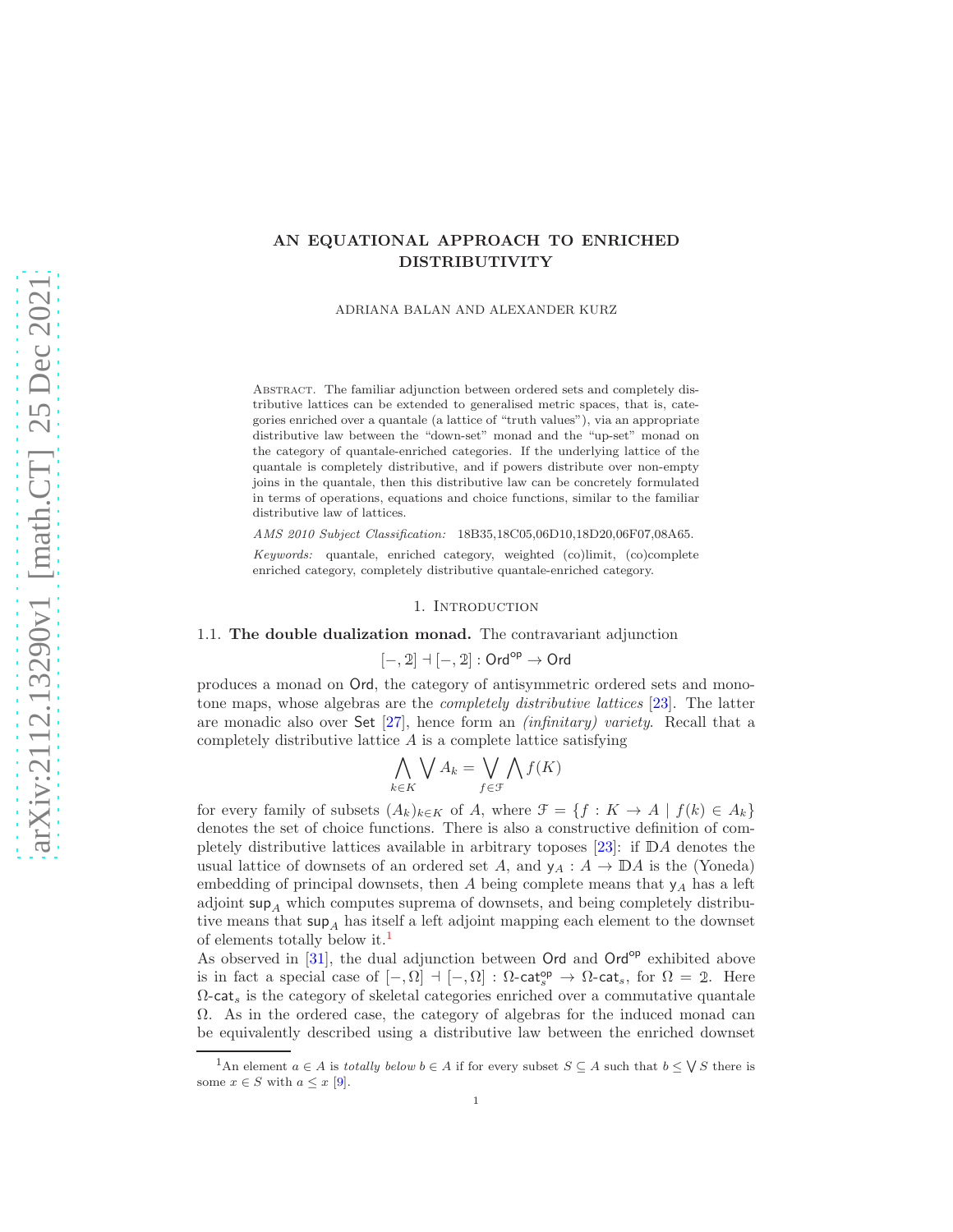# AN EQUATIONAL APPROACH TO ENRICHED DISTRIBUTIVITY

ADRIANA BALAN AND ALEXANDER KURZ

Abstract. The familiar adjunction between ordered sets and completely distributive lattices can be extended to generalised metric spaces, that is, categories enriched over a quantale (a lattice of "truth values"), via an appropriate distributive law between the "down-set" monad and the "up-set" monad on the category of quantale-enriched categories. If the underlying lattice of the quantale is completely distributive, and if powers distribute over non-empty joins in the quantale, then this distributive law can be concretely formulated in terms of operations, equations and choice functions, similar to the familiar distributive law of lattices.

AMS 2010 Subject Classification: 18B35,18C05,06D10,18D20,06F07,08A65.

Keywords: quantale, enriched category, weighted (co)limit, (co)complete enriched category, completely distributive quantale-enriched category.

### 1. Introduction

## 1.1. The double dualization monad. The contravariant adjunction

$$
[-,2] \dashv [-,2] : \mathsf{Ord}^\mathsf{op} \to \mathsf{Ord}
$$

produces a monad on Ord, the category of antisymmetric ordered sets and monotone maps, whose algebras are the completely distributive lattices [\[23\]](#page-14-0). The latter are monadic also over Set [\[27\]](#page-14-1), hence form an *(infinitary) variety*. Recall that a completely distributive lattice A is a complete lattice satisfying

$$
\bigwedge_{k \in K} \bigvee A_k = \bigvee_{f \in \mathcal{F}} \bigwedge f(K)
$$

for every family of subsets  $(A_k)_{k\in K}$  of A, where  $\mathcal{F} = \{f : K \to A \mid f(k) \in A_k\}$ denotes the set of choice functions. There is also a constructive definition of completely distributive lattices available in arbitrary toposes [\[23\]](#page-14-0): if <sup>D</sup>A denotes the usual lattice of downsets of an ordered set A, and  $y_A : A \to \mathbb{D}A$  is the (Yoneda) embedding of principal downsets, then  $A$  being complete means that  $y_A$  has a left adjoint  $\sup_{A}$  which computes suprema of downsets, and being completely distributive means that  $\sup_{A}$  has itself a left adjoint mapping each element to the downset of elements totally below it.[1](#page-0-0)

As observed in  $[31]$ , the dual adjunction between Ord and Ord<sup>op</sup> exhibited above is in fact a special case of  $[-, \Omega] \dashv [-, \Omega] : \Omega\text{-cat}_s^{\text{op}} \to \Omega\text{-cat}_s$ , for  $\Omega = 2$ . Here  $\Omega$ -cat<sub>s</sub> is the category of skeletal categories enriched over a commutative quantale Ω. As in the ordered case, the category of algebras for the induced monad can be equivalently described using a distributive law between the enriched downset

<span id="page-0-0"></span><sup>&</sup>lt;sup>1</sup>An element  $a \in A$  is totally below  $b \in A$  if for every subset  $S \subseteq A$  such that  $b \leq \bigvee S$  there is some  $x \in S$  with  $a \leq x$  [\[9\]](#page-14-3).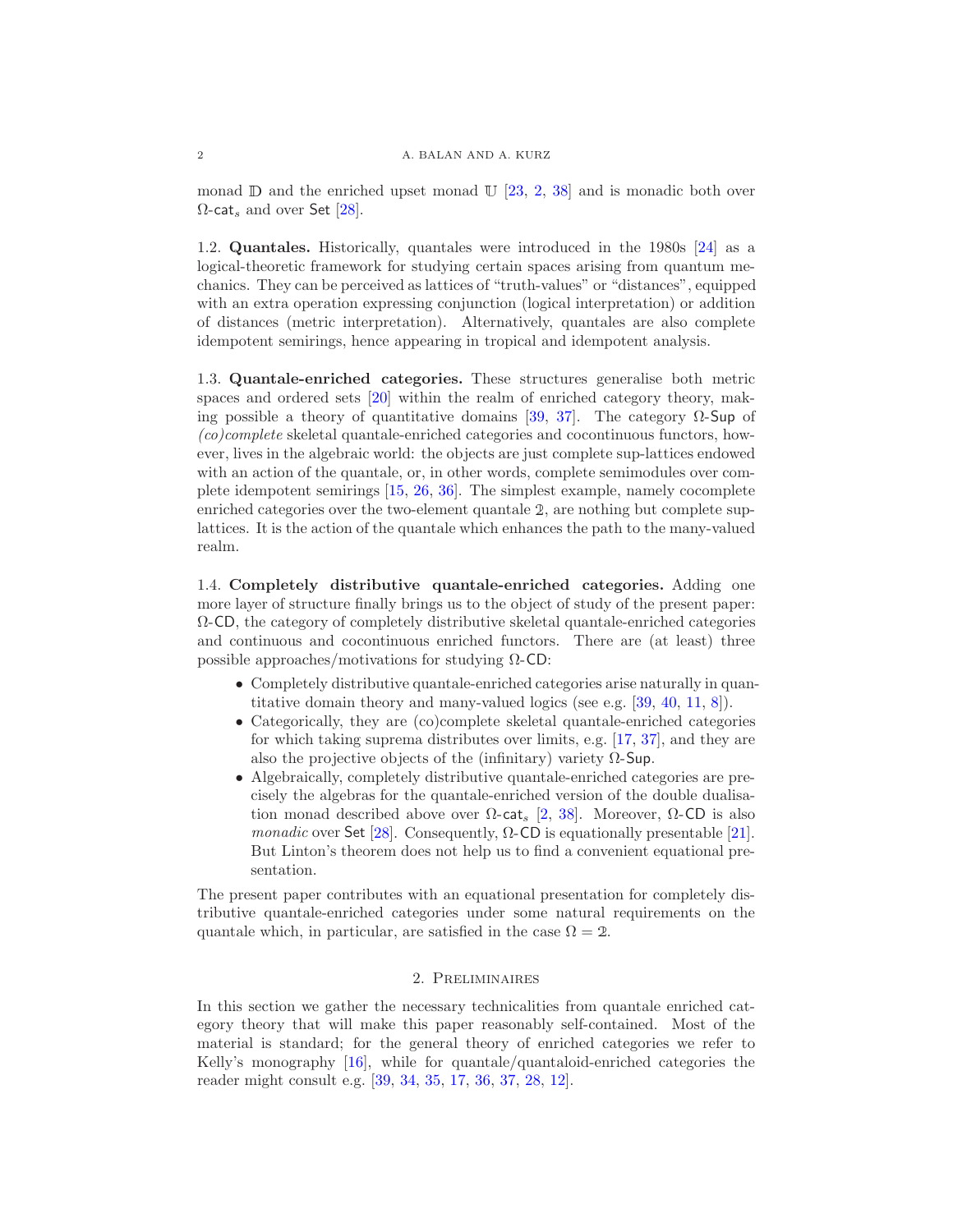monad  $\mathbb D$  and the enriched upset monad  $\mathbb U$  [\[23,](#page-14-0) [2,](#page-13-0) [38\]](#page-15-0) and is monadic both over  $\Omega$ -cat<sub>s</sub> and over Set [\[28\]](#page-14-4).

1.2. Quantales. Historically, quantales were introduced in the 1980s [\[24\]](#page-14-5) as a logical-theoretic framework for studying certain spaces arising from quantum mechanics. They can be perceived as lattices of "truth-values" or "distances", equipped with an extra operation expressing conjunction (logical interpretation) or addition of distances (metric interpretation). Alternatively, quantales are also complete idempotent semirings, hence appearing in tropical and idempotent analysis.

1.3. Quantale-enriched categories. These structures generalise both metric spaces and ordered sets [\[20\]](#page-14-6) within the realm of enriched category theory, mak-ing possible a theory of quantitative domains [\[39,](#page-15-1) [37\]](#page-14-7). The category  $\Omega$ -Sup of (co)complete skeletal quantale-enriched categories and cocontinuous functors, however, lives in the algebraic world: the objects are just complete sup-lattices endowed with an action of the quantale, or, in other words, complete semimodules over complete idempotent semirings [\[15,](#page-14-8) [26,](#page-14-9) [36\]](#page-14-10). The simplest example, namely cocomplete enriched categories over the two-element quantale <sup>2</sup>, are nothing but complete suplattices. It is the action of the quantale which enhances the path to the many-valued realm.

1.4. Completely distributive quantale-enriched categories. Adding one more layer of structure finally brings us to the object of study of the present paper: Ω-CD, the category of completely distributive skeletal quantale-enriched categories and continuous and cocontinuous enriched functors. There are (at least) three possible approaches/motivations for studying  $\Omega$ -CD:

- Completely distributive quantale-enriched categories arise naturally in quantitative domain theory and many-valued logics (see e.g. [\[39,](#page-15-1) [40,](#page-15-2) [11,](#page-14-11) [8\]](#page-14-12)).
- Categorically, they are (co)complete skeletal quantale-enriched categories for which taking suprema distributes over limits, e.g. [\[17,](#page-14-13) [37\]](#page-14-7), and they are also the projective objects of the (infinitary) variety  $\Omega$ -Sup.
- Algebraically, completely distributive quantale-enriched categories are precisely the algebras for the quantale-enriched version of the double dualisation monad described above over  $\Omega$ -cat<sub>s</sub> [\[2,](#page-13-0) [38\]](#page-15-0). Moreover,  $\Omega$ -CD is also monadic over Set [\[28\]](#page-14-4). Consequently,  $\Omega$ -CD is equationally presentable [\[21\]](#page-14-14). But Linton's theorem does not help us to find a convenient equational presentation.

The present paper contributes with an equational presentation for completely distributive quantale-enriched categories under some natural requirements on the quantale which, in particular, are satisfied in the case  $\Omega = 2$ .

## 2. Preliminaires

In this section we gather the necessary technicalities from quantale enriched category theory that will make this paper reasonably self-contained. Most of the material is standard; for the general theory of enriched categories we refer to Kelly's monography [\[16\]](#page-14-15), while for quantale/quantaloid-enriched categories the reader might consult e.g. [\[39,](#page-15-1) [34,](#page-14-16) [35,](#page-14-17) [17,](#page-14-13) [36,](#page-14-10) [37,](#page-14-7) [28,](#page-14-4) [12\]](#page-14-18).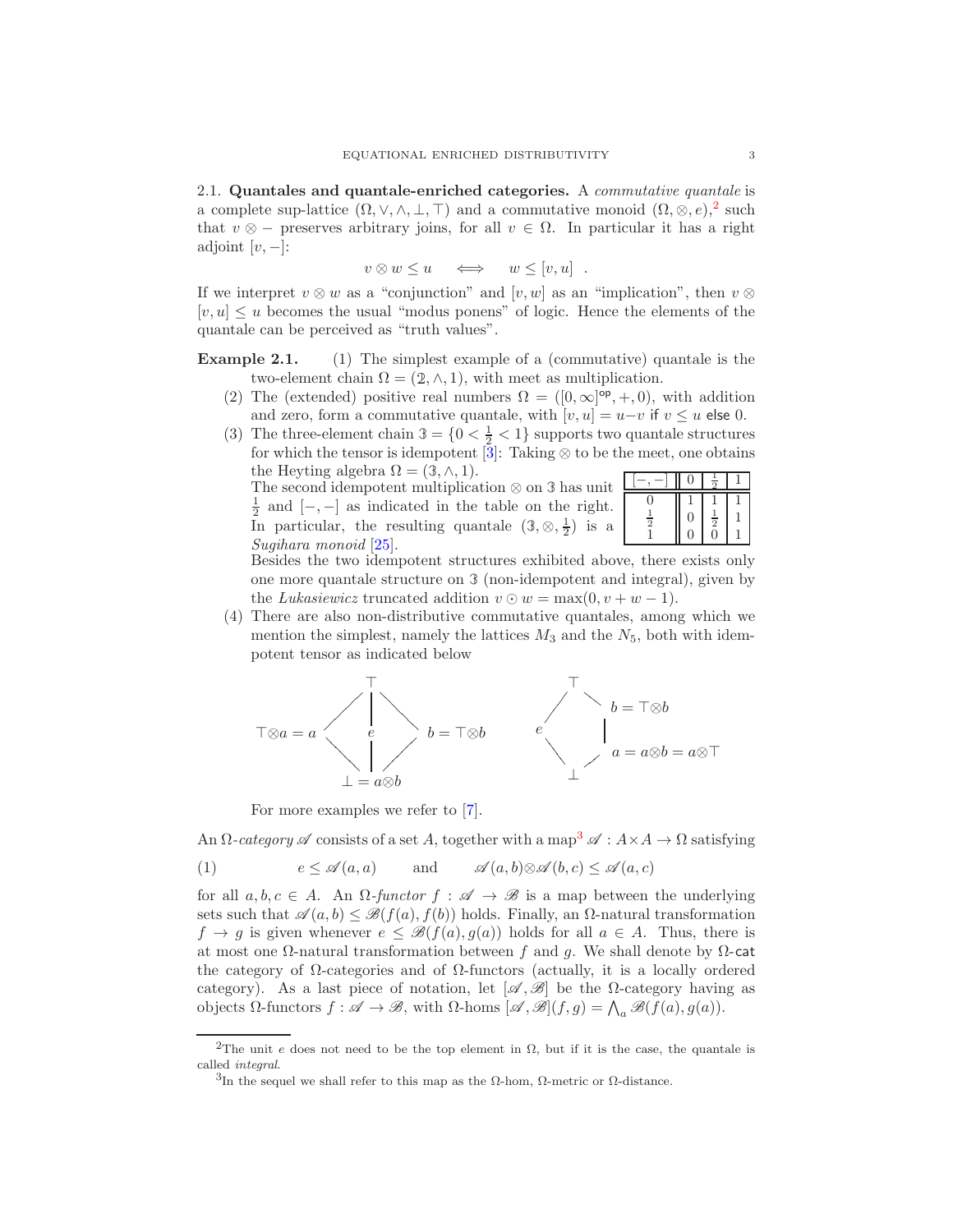2.1. Quantales and quantale-enriched categories. A commutative quantale is a complete sup-lattice  $(\Omega, \vee, \wedge, \bot, \top)$  and a commutative monoid  $(\Omega, \otimes, e),^2$  $(\Omega, \otimes, e),^2$  such that  $v \otimes -$  preserves arbitrary joins, for all  $v \in \Omega$ . In particular it has a right adjoint  $[v, -]$ :

$$
v \otimes w \le u \quad \iff \quad w \le [v, u] \quad .
$$

If we interpret  $v \otimes w$  as a "conjunction" and  $[v, w]$  as an "implication", then  $v \otimes$  $[v, u] \leq u$  becomes the usual "modus ponens" of logic. Hence the elements of the quantale can be perceived as "truth values".

<span id="page-2-4"></span><span id="page-2-3"></span>Example 2.1. (1) The simplest example of a (commutative) quantale is the two-element chain  $\Omega = (2, \wedge, 1)$ , with meet as multiplication.

- (2) The (extended) positive real numbers  $\Omega = ([0,\infty]^{\text{op}},+,0)$ , with addition and zero, form a commutative quantale, with  $[v, u] = u - v$  if  $v \le u$  else 0.
- <span id="page-2-5"></span>(3) The three-element chain  $3 = \{0 < \frac{1}{2} < 1\}$  supports two quantale structures for which the tensor is idempotent  $\overline{3}$ : Taking ⊗ to be the meet, one obtains the Heyting algebra  $\Omega = (3, \wedge, 1)$ . 1

The second idempotent multiplication ⊗ on **3** has unit  $\frac{1}{2}$  and  $[-,-]$  as indicated in the table on the right. In particular, the resulting quantale  $(3, \otimes, \frac{1}{2})$  is a Sugihara monoid [\[25\]](#page-14-19).

| $\frac{1}{2}$ | U | $rac{1}{2}$ |  |
|---------------|---|-------------|--|
|               | ï |             |  |

Besides the two idempotent structures exhibited above, there exists only one more quantale structure on **3** (non-idempotent and integral), given by the Lukasiewicz truncated addition  $v \odot w = \max(0, v + w - 1)$ .

<span id="page-2-6"></span>(4) There are also non-distributive commutative quantales, among which we mention the simplest, namely the lattices  $M_3$  and the  $N_5$ , both with idempotent tensor as indicated below



<span id="page-2-2"></span>For more examples we refer to [\[7\]](#page-13-2).

An  $\Omega$ -category  $\mathscr A$  consists of a set A, together with a map<sup>[3](#page-2-1)</sup>  $\mathscr A : A \times A \to \Omega$  satisfying

(1) 
$$
e \leq \mathcal{A}(a, a) \quad \text{and} \quad \mathcal{A}(a, b) \otimes \mathcal{A}(b, c) \leq \mathcal{A}(a, c)
$$

for all  $a, b, c \in A$ . An  $\Omega$ -functor  $f : \mathscr{A} \to \mathscr{B}$  is a map between the underlying sets such that  $\mathscr{A}(a, b) \leq \mathscr{B}(f(a), f(b))$  holds. Finally, an  $\Omega$ -natural transformation  $f \to g$  is given whenever  $e \leq \mathcal{B}(f(a), g(a))$  holds for all  $a \in A$ . Thus, there is at most one  $\Omega$ -natural transformation between f and q. We shall denote by  $\Omega$ -cat the category of  $\Omega$ -categories and of  $\Omega$ -functors (actually, it is a locally ordered category). As a last piece of notation, let  $[\mathscr{A}, \mathscr{B}]$  be the  $\Omega$ -category having as objects Ω-functors  $f : \mathscr{A} \to \mathscr{B}$ , with Ω-homs  $[\mathscr{A}, \mathscr{B}](f, g) = \bigwedge_a \mathscr{B}(f(a), g(a)).$ 

<sup>&</sup>lt;sup>2</sup>The unit e does not need to be the top element in  $\Omega$ , but if it is the case, the quantale is called integral.

<span id="page-2-1"></span><span id="page-2-0"></span><sup>&</sup>lt;sup>3</sup>In the sequel we shall refer to this map as the  $Ω$ -hom,  $Ω$ -metric or  $Ω$ -distance.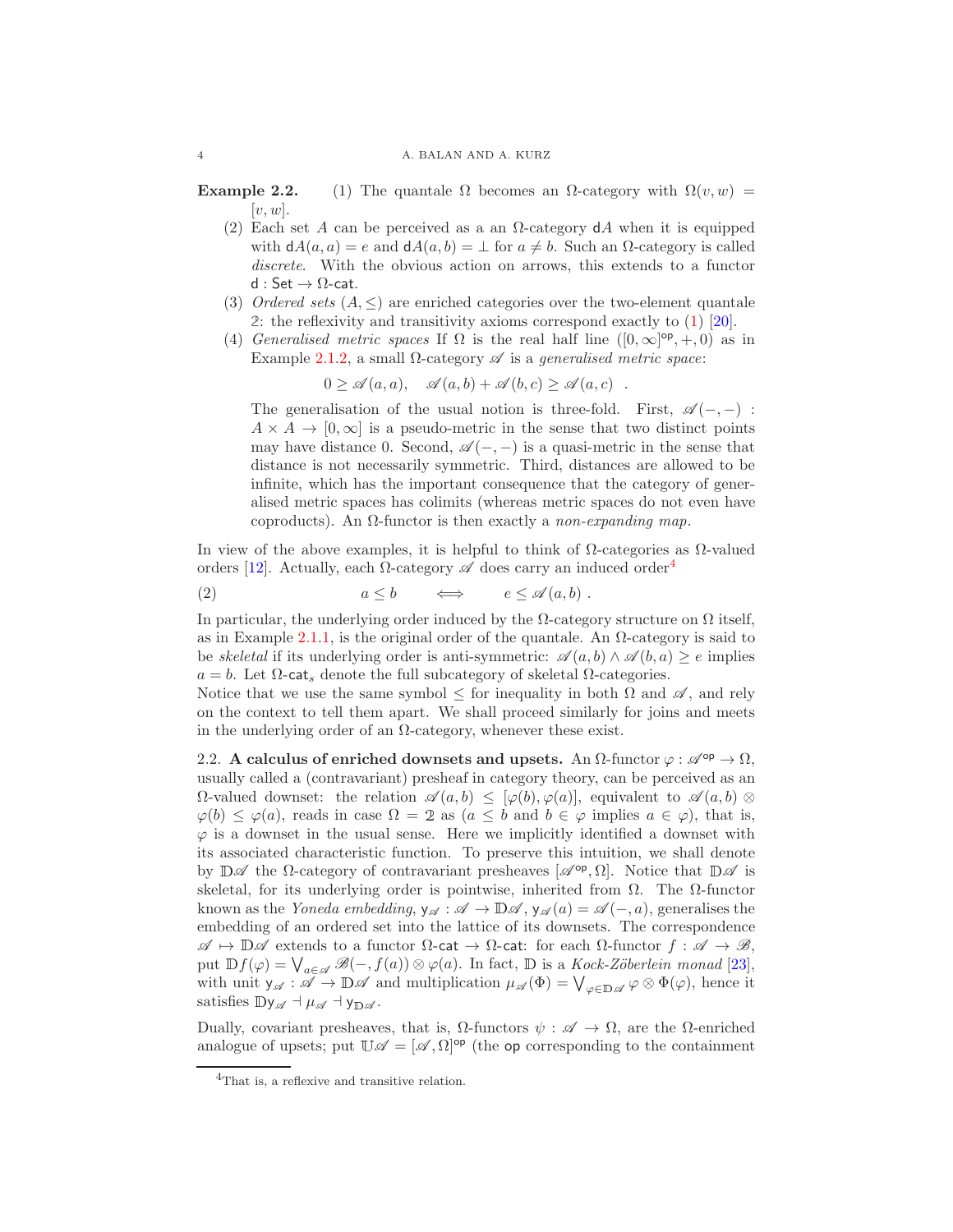#### 4 A. BALAN AND A. KURZ

**Example 2.2.** (1) The quantale  $\Omega$  becomes an  $\Omega$ -category with  $\Omega(v, w)$  =  $[v, w]$ .

- (2) Each set A can be perceived as a an  $\Omega$ -category dA when it is equipped with  $dA(a, a) = e$  and  $dA(a, b) = \perp$  for  $a \neq b$ . Such an  $\Omega$ -category is called discrete. With the obvious action on arrows, this extends to a functor  $d : Set \rightarrow \Omega$ -cat.
- (3) Ordered sets  $(A, \leq)$  are enriched categories over the two-element quantale **2**: the reflexivity and transitivity axioms correspond exactly to [\(1\)](#page-2-2) [\[20\]](#page-14-6).
- (4) Generalised metric spaces If  $\Omega$  is the real half line  $([0,\infty]^{\text{op}},+,0)$  as in Example 2.1[.2,](#page-2-3) a small  $\Omega$ -category  $\mathscr A$  is a generalised metric space:

$$
0 \ge \mathscr{A}(a,a), \quad \mathscr{A}(a,b) + \mathscr{A}(b,c) \ge \mathscr{A}(a,c) .
$$

The generalisation of the usual notion is three-fold. First,  $\mathscr{A}(-,-)$ :  $A \times A \rightarrow [0, \infty]$  is a pseudo-metric in the sense that two distinct points may have distance 0. Second,  $\mathscr{A}(-,-)$  is a quasi-metric in the sense that distance is not necessarily symmetric. Third, distances are allowed to be infinite, which has the important consequence that the category of generalised metric spaces has colimits (whereas metric spaces do not even have coproducts). An  $\Omega$ -functor is then exactly a non-expanding map.

In view of the above examples, it is helpful to think of  $\Omega$ -categories as  $\Omega$ -valued orders [\[12\]](#page-14-18). Actually, each  $\Omega$ -category  $\mathscr A$  does carry an induced order<sup>[4](#page-3-0)</sup>

(2) 
$$
a \leq b \qquad \Longleftrightarrow \qquad e \leq \mathscr{A}(a, b)
$$
.

In particular, the underlying order induced by the  $\Omega$ -category structure on  $\Omega$  itself, as in Example 2.1[.1,](#page-3-1) is the original order of the quantale. An  $\Omega$ -category is said to be skeletal if its underlying order is anti-symmetric:  $\mathscr{A}(a, b) \wedge \mathscr{A}(b, a) \geq e$  implies  $a = b$ . Let  $\Omega$ -cat<sub>s</sub> denote the full subcategory of skeletal  $\Omega$ -categories.

Notice that we use the same symbol  $\leq$  for inequality in both  $\Omega$  and  $\mathscr{A}$ , and rely on the context to tell them apart. We shall proceed similarly for joins and meets in the underlying order of an  $\Omega$ -category, whenever these exist.

2.2. A calculus of enriched downsets and upsets. An  $\Omega$ -functor  $\varphi: \mathscr{A}^{\mathrm{op}} \to \Omega$ , usually called a (contravariant) presheaf in category theory, can be perceived as an  $\Omega$ -valued downset: the relation  $\mathscr{A}(a, b) \leq [\varphi(b), \varphi(a)]$ , equivalent to  $\mathscr{A}(a, b) \otimes$  $\varphi(b) \leq \varphi(a)$ , reads in case  $\Omega = 2$  as  $(a \leq b \text{ and } b \in \varphi \text{ implies } a \in \varphi)$ , that is,  $\varphi$  is a downset in the usual sense. Here we implicitly identified a downset with its associated characteristic function. To preserve this intuition, we shall denote by  $\mathbb{D}\mathscr{A}$  the  $\Omega$ -category of contravariant presheaves  $[\mathscr{A}^{op}, \Omega]$ . Notice that  $\mathbb{D}\mathscr{A}$  is skeletal, for its underlying order is pointwise, inherited from  $\Omega$ . The  $\Omega$ -functor known as the *Yoneda embedding*,  $y_{\mathscr{A}} : \mathscr{A} \to \mathbb{D}\mathscr{A}$ ,  $y_{\mathscr{A}}(a) = \mathscr{A}(-,a)$ , generalises the embedding of an ordered set into the lattice of its downsets. The correspondence  $\mathscr{A} \mapsto \mathbb{D}\mathscr{A}$  extends to a functor  $\Omega$ -cat  $\to \Omega$ -cat: for each  $\Omega$ -functor  $f : \mathscr{A} \to \mathscr{B}$ , put  $\mathbb{D}f(\varphi) = \bigvee_{a \in \mathscr{A}} \mathscr{B}(-, f(a)) \otimes \varphi(a)$ . In fact,  $\mathbb{D}$  is a *Kock-Zöberlein monad* [\[23\]](#page-14-0), with unit  $y_{\mathscr{A}} : \mathscr{A} \to \mathbb{D}\mathscr{A}$  and multiplication  $\mu_{\mathscr{A}}(\Phi) = \bigvee_{\varphi \in \mathbb{D}\mathscr{A}} \varphi \otimes \Phi(\varphi)$ , hence it satisfies  $\mathbb{D}y_{\mathscr{A}} \dashv \mu_{\mathscr{A}} \dashv y_{\mathbb{D} \mathscr{A}}$ .

Dually, covariant presheaves, that is,  $\Omega$ -functors  $\psi : \mathscr{A} \to \Omega$ , are the  $\Omega$ -enriched analogue of upsets; put  $\mathbb{U}\mathscr{A} = [\mathscr{A}, \Omega]^{op}$  (the op corresponding to the containment

<span id="page-3-1"></span>

<span id="page-3-0"></span><sup>&</sup>lt;sup>4</sup>That is, a reflexive and transitive relation.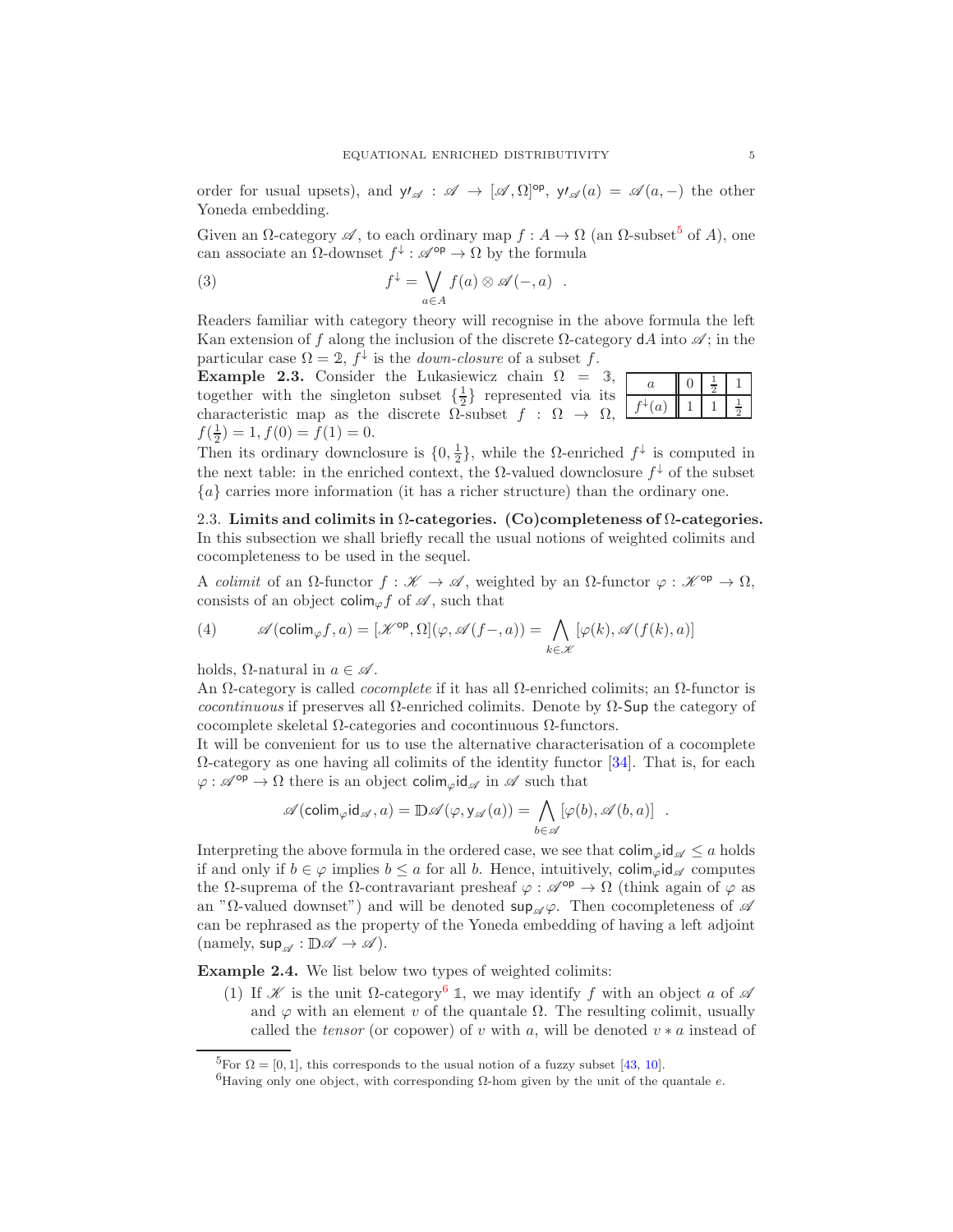order for usual upsets), and  $y'_{\mathscr{A}} : \mathscr{A} \to [\mathscr{A}, \Omega]^{op}$ ,  $y'_{\mathscr{A}}(a) = \mathscr{A}(a, -)$  the other Yoneda embedding.

Given an  $\Omega$ -category  $\mathscr A$ , to each ordinary map  $f : A \to \Omega$  (an  $\Omega$ -subset<sup>[5](#page-4-0)</sup> of A), one can associate an  $\Omega$ -downset  $f^{\downarrow} : \mathscr{A}^{\text{op}} \to \Omega$  by the formula

<span id="page-4-3"></span>(3) 
$$
f^{\downarrow} = \bigvee_{a \in A} f(a) \otimes \mathscr{A}(-, a) .
$$

Readers familiar with category theory will recognise in the above formula the left Kan extension of f along the inclusion of the discrete  $\Omega$ -category dA into  $\mathscr{A}$ ; in the particular case  $\Omega = 2$ ,  $f^{\downarrow}$  is the *down-closure* of a subset f.

Example 2.3. Consider the Lukasiewicz chain  $\Omega = 3$ , together with the singleton subset  $\{\frac{1}{2}\}\$  represented via its characteristic map as the discrete  $\Omega$ -subset  $f : \Omega \to \Omega$ ,  $f(\frac{1}{2}) = 1, f(0) = f(1) = 0.$  $a \parallel 0$  $f^{\downarrow}(a)$  | 1 | 1

Then its ordinary downclosure is  $\{0, \frac{1}{2}\}\$ , while the  $\Omega$ -enriched  $f^{\downarrow}$  is computed in the next table: in the enriched context, the  $\Omega$ -valued downclosure  $f^{\downarrow}$  of the subset {a} carries more information (it has a richer structure) than the ordinary one.

2.3. Limits and colimits in  $\Omega$ -categories. (Co)completeness of  $\Omega$ -categories. In this subsection we shall briefly recall the usual notions of weighted colimits and cocompleteness to be used in the sequel.

A colimit of an  $\Omega$ -functor  $f : \mathscr{K} \to \mathscr{A}$ , weighted by an  $\Omega$ -functor  $\varphi : \mathscr{K}^{\text{op}} \to \Omega$ , consists of an object colim<sub> $\varphi$ </sub> f of  $\mathscr A$ , such that

<span id="page-4-2"></span>
$$
(4) \qquad \mathscr{A}(\text{colim}_{\varphi}f,a)=[\mathscr{K}^{\text{op}},\Omega](\varphi,\mathscr{A}(f-,a))=\bigwedge_{k\in\mathscr{K}}[\varphi(k),\mathscr{A}(f(k),a)]
$$

holds,  $\Omega$ -natural in  $a \in \mathscr{A}$ .

An  $\Omega$ -category is called *cocomplete* if it has all  $\Omega$ -enriched colimits; an  $\Omega$ -functor is cocontinuous if preserves all  $\Omega$ -enriched colimits. Denote by  $\Omega$ -Sup the category of cocomplete skeletal Ω-categories and cocontinuous Ω-functors.

It will be convenient for us to use the alternative characterisation of a cocomplete  $\Omega$ -category as one having all colimits of the identity functor [\[34\]](#page-14-16). That is, for each  $\varphi : \mathscr{A}^{\text{op}} \to \Omega$  there is an object colim<sub> $\varphi$ </sub>id<sub> $\mathscr A$ </sub> in  $\mathscr A$  such that

$$
\mathscr{A}(\text{colim}_{\varphi}\text{id}_{\mathscr{A}},a)=\mathbb{D}\mathscr{A}(\varphi,\mathsf{y}_{\mathscr{A}}(a))=\bigwedge_{b\in\mathscr{A}}[\varphi(b),\mathscr{A}(b,a)]\ .
$$

Interpreting the above formula in the ordered case, we see that  $\text{colim}_{\varphi} \text{id}_{\mathscr{A}} \leq a$  holds if and only if  $b \in \varphi$  implies  $b \le a$  for all b. Hence, intuitively, colim<sub> $\varphi$ </sub> id<sub> $\varphi$ </sub> computes the  $\Omega$ -suprema of the  $\Omega$ -contravariant presheaf  $\varphi : \mathscr{A}^{\text{op}} \to \Omega$  (think again of  $\varphi$  as an "Ω-valued downset") and will be denoted  $\sup_{\mathscr{A}}\varphi$ . Then cocompleteness of  $\mathscr A$ can be rephrased as the property of the Yoneda embedding of having a left adjoint (namely,  $\mathsf{sup}_{\mathscr{A}} : \mathbb{D}\mathscr{A} \to \mathscr{A}$ ).

Example 2.4. We list below two types of weighted colimits:

(1) If  $\mathscr K$  is the unit  $\Omega$ -category<sup>[6](#page-4-1)</sup> 1, we may identify f with an object a of  $\mathscr A$ and  $\varphi$  with an element v of the quantale  $\Omega$ . The resulting colimit, usually called the tensor (or copower) of v with a, will be denoted  $v * a$  instead of

1 2 1

> 1 2

<sup>&</sup>lt;sup>5</sup>For  $\Omega = [0, 1]$ , this corresponds to the usual notion of a fuzzy subset [\[43,](#page-15-3) [10\]](#page-14-20).

<span id="page-4-1"></span><span id="page-4-0"></span> ${}^{6}$ Having only one object, with corresponding Ω-hom given by the unit of the quantale *e*.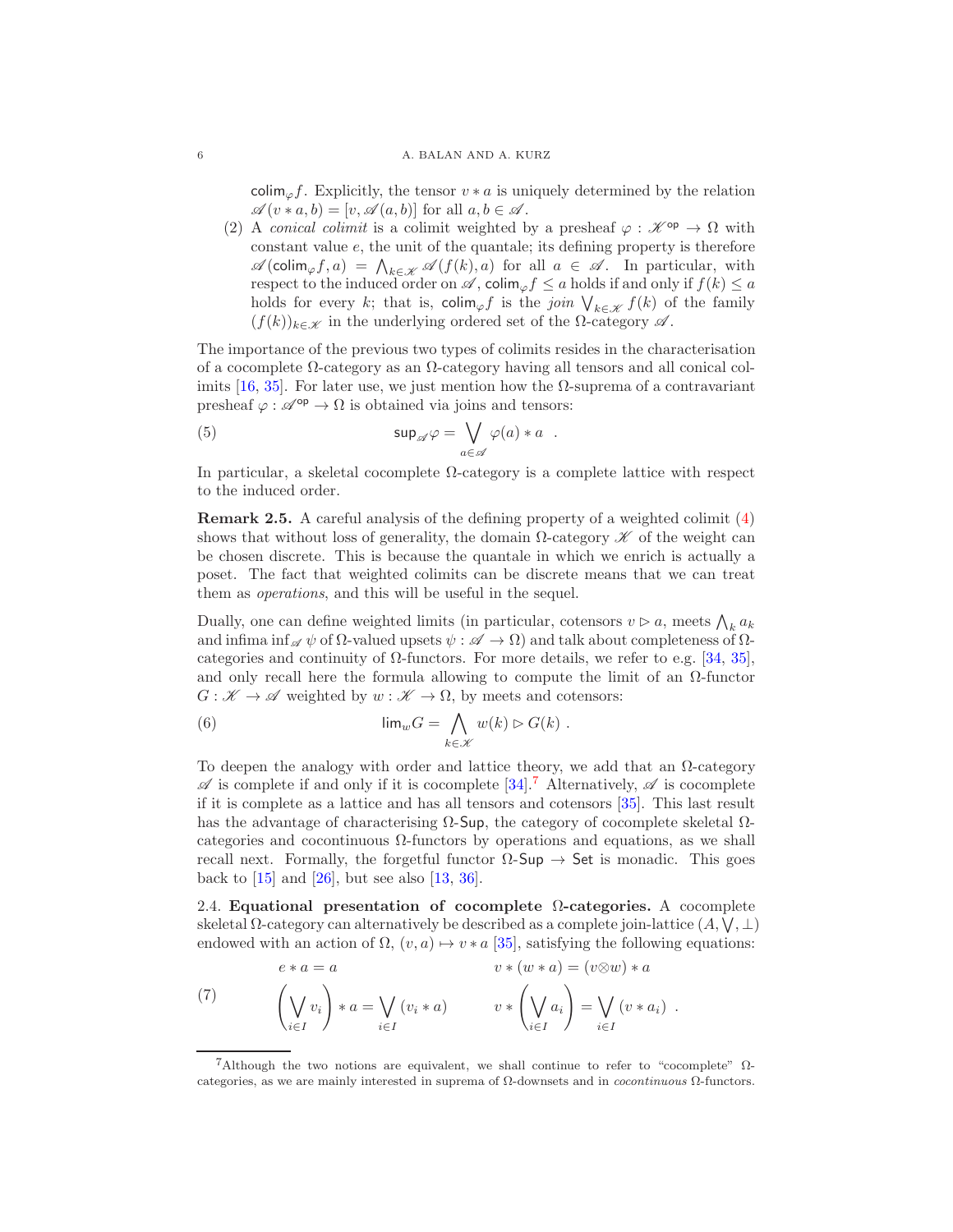#### 6 A. BALAN AND A. KURZ

 $\text{colim}_{\varphi} f$ . Explicitly, the tensor  $v * a$  is uniquely determined by the relation  $\mathscr{A}(v*a,b)=[v,\mathscr{A}(a,b)]$  for all  $a,b\in\mathscr{A}$ .

(2) A conical colimit is a colimit weighted by a presheaf  $\varphi : \mathscr{K}^{\text{op}} \to \Omega$  with constant value  $e$ , the unit of the quantale; its defining property is therefore  $\mathscr{A}(\text{colim}_{\varphi}f, a) = \bigwedge_{k \in \mathscr{K}} \mathscr{A}(f(k), a)$  for all  $a \in \mathscr{A}$ . In particular, with respect to the induced order on  $\mathscr{A}$ , colim<sub> $\varphi$ </sub>  $f \leq a$  holds if and only if  $f(k) \leq a$ holds for every k; that is,  $\text{colim}_{\varphi} f$  is the join  $\bigvee_{k \in \mathcal{K}} f(k)$  of the family  $(f(k))_{k\in\mathscr{K}}$  in the underlying ordered set of the  $\Omega$ -category  $\mathscr{A}$ .

The importance of the previous two types of colimits resides in the characterisation of a cocomplete Ω-category as an Ω-category having all tensors and all conical colimits  $[16, 35]$  $[16, 35]$ . For later use, we just mention how the  $\Omega$ -suprema of a contravariant presheaf  $\varphi : \mathscr{A}^{\text{op}} \to \Omega$  is obtained via joins and tensors:

<span id="page-5-2"></span>(5) 
$$
\sup_{a \in \mathscr{A}} \varphi = \bigvee_{a \in \mathscr{A}} \varphi(a) * a .
$$

In particular, a skeletal cocomplete  $\Omega$ -category is a complete lattice with respect to the induced order.

<span id="page-5-4"></span>Remark 2.5. A careful analysis of the defining property of a weighted colimit [\(4\)](#page-4-2) shows that without loss of generality, the domain  $\Omega$ -category  $\mathscr K$  of the weight can be chosen discrete. This is because the quantale in which we enrich is actually a poset. The fact that weighted colimits can be discrete means that we can treat them as operations, and this will be useful in the sequel.

Dually, one can define weighted limits (in particular, cotensors  $v \triangleright a$ , meets  $\bigwedge_k a_k$ and infima inf<sub> $\mathscr A \psi$ </sub> of  $\Omega$ -valued upsets  $\psi : \mathscr A \to \Omega$ ) and talk about completeness of  $\Omega$ categories and continuity of  $\Omega$ -functors. For more details, we refer to e.g. [\[34,](#page-14-16) [35\]](#page-14-17), and only recall here the formula allowing to compute the limit of an  $\Omega$ -functor  $G: \mathscr{K} \to \mathscr{A}$  weighted by  $w: \mathscr{K} \to \Omega$ , by meets and cotensors:

<span id="page-5-3"></span>(6) 
$$
\lim_{w \to 0} G = \bigwedge_{k \in \mathcal{K}} w(k) \triangleright G(k) .
$$

To deepen the analogy with order and lattice theory, we add that an  $\Omega$ -category  $\mathscr A$  is complete if and only if it is cocomplete [\[34\]](#page-14-16). Alternatively,  $\mathscr A$  is cocomplete if it is complete as a lattice and has all tensors and cotensors [\[35\]](#page-14-17). This last result has the advantage of characterising  $\Omega$ -Sup, the category of cocomplete skeletal  $\Omega$ categories and cocontinuous  $\Omega$ -functors by operations and equations, as we shall recall next. Formally, the forgetful functor  $\Omega$ -Sup  $\rightarrow$  Set is monadic. This goes back to  $[15]$  and  $[26]$ , but see also  $[13, 36]$  $[13, 36]$ .

2.4. Equational presentation of cocomplete  $\Omega$ -categories. A cocomplete skeletal  $\Omega$ -category can alternatively be described as a complete join-lattice  $(A, \bigvee, \bot)$ endowed with an action of  $\Omega$ ,  $(v, a) \mapsto v * a$  [\[35\]](#page-14-17), satisfying the following equations:

<span id="page-5-1"></span>(7) 
$$
e * a = a \qquad v * (w * a) = (v \otimes w) * a
$$

$$
\left(\bigvee_{i \in I} v_i\right) * a = \bigvee_{i \in I} (v_i * a) \qquad v * \left(\bigvee_{i \in I} a_i\right) = \bigvee_{i \in I} (v * a_i) .
$$

<span id="page-5-0"></span><sup>&</sup>lt;sup>7</sup>Although the two notions are equivalent, we shall continue to refer to "cocomplete"  $Ω$ categories, as we are mainly interested in suprema of Ω-downsets and in cocontinuous Ω-functors.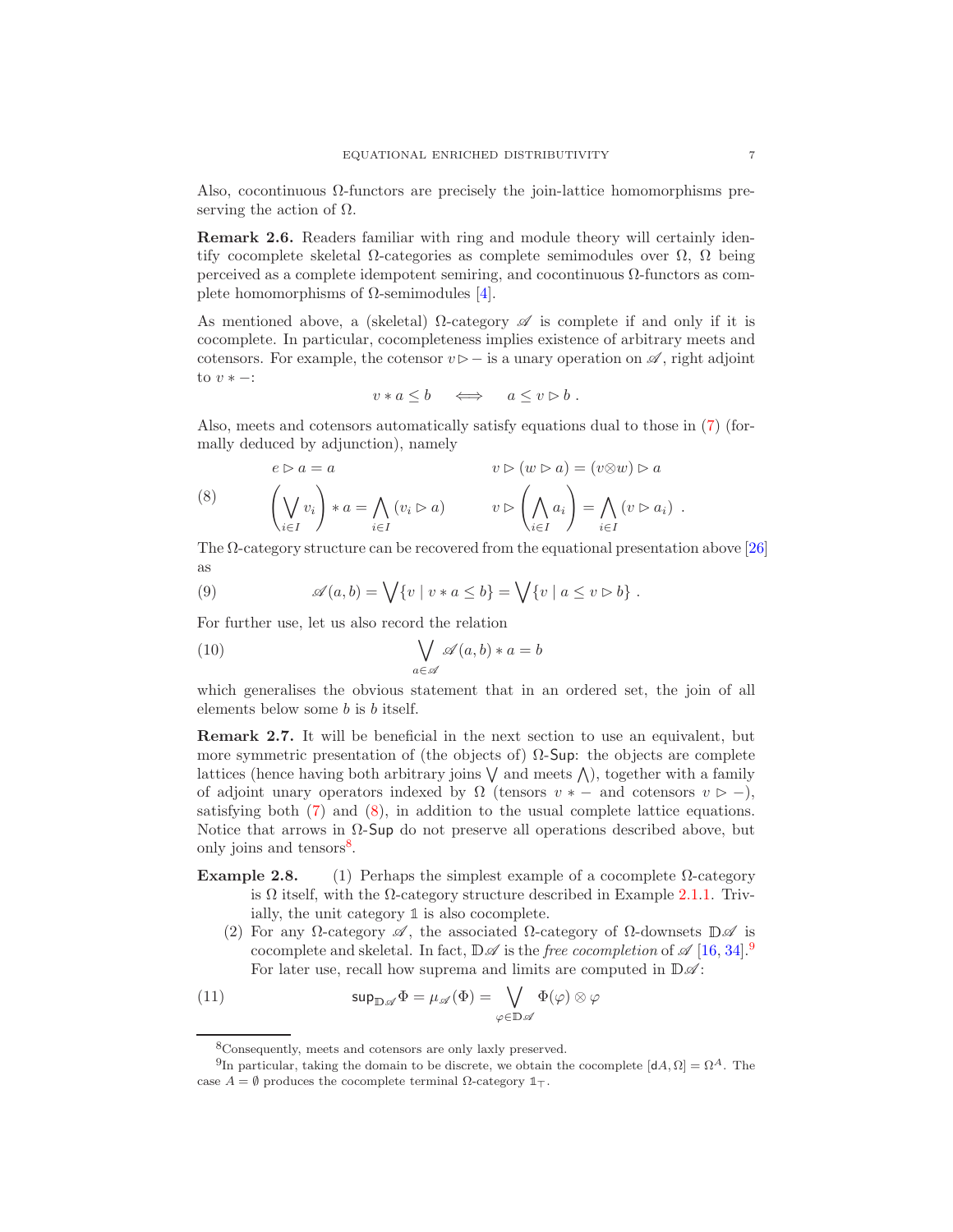Also, cocontinuous  $\Omega$ -functors are precisely the join-lattice homomorphisms preserving the action of  $\Omega$ .

Remark 2.6. Readers familiar with ring and module theory will certainly identify cocomplete skeletal  $\Omega$ -categories as complete semimodules over  $\Omega$ ,  $\Omega$  being perceived as a complete idempotent semiring, and cocontinuous  $\Omega$ -functors as complete homomorphisms of  $\Omega$ -semimodules [\[4\]](#page-13-3).

As mentioned above, a (skeletal)  $\Omega$ -category  $\mathscr A$  is complete if and only if it is cocomplete. In particular, cocompleteness implies existence of arbitrary meets and cotensors. For example, the cotensor  $v \triangleright$  - is a unary operation on  $\mathscr A$ , right adjoint to  $v * -$ :

$$
v*a\leq b \quad \iff \quad a\leq v\rhd b\ .
$$

Also, meets and cotensors automatically satisfy equations dual to those in [\(7\)](#page-5-1) (formally deduced by adjunction), namely

<span id="page-6-0"></span>(8) 
$$
e \rhd a = a \qquad v \rhd (w \rhd a) = (v \otimes w) \rhd a
$$

$$
\left(\bigvee_{i \in I} v_i\right) * a = \bigwedge_{i \in I} (v_i \rhd a) \qquad v \rhd \left(\bigwedge_{i \in I} a_i\right) = \bigwedge_{i \in I} (v \rhd a_i) .
$$

The  $\Omega$ -category structure can be recovered from the equational presentation above [\[26\]](#page-14-9) as

<span id="page-6-6"></span>(9) 
$$
\mathscr{A}(a,b) = \bigvee \{v \mid v*a \leq b\} = \bigvee \{v \mid a \leq v \triangleright b\}.
$$

For further use, let us also record the relation

<span id="page-6-5"></span>(10) 
$$
\bigvee_{a \in \mathscr{A}} \mathscr{A}(a, b) * a = b
$$

which generalises the obvious statement that in an ordered set, the join of all elements below some b is b itself.

<span id="page-6-3"></span>Remark 2.7. It will be beneficial in the next section to use an equivalent, but more symmetric presentation of (the objects of)  $\Omega$ -Sup: the objects are complete lattices (hence having both arbitrary joins  $\vee$  and meets  $\wedge$ ), together with a family of adjoint unary operators indexed by  $\Omega$  (tensors  $v * -$  and cotensors  $v \ge -1$ ), satisfying both [\(7\)](#page-5-1) and [\(8\)](#page-6-0), in addition to the usual complete lattice equations. Notice that arrows in  $\Omega$ -Sup do not preserve all operations described above, but only joins and tensors<sup>[8](#page-6-1)</sup>.

- Example 2.8. (1) Perhaps the simplest example of a cocomplete  $\Omega$ -category is  $\Omega$  itself, with the  $\Omega$ -category structure described in Example 2[.1.](#page-3-1)1. Trivially, the unit category **1** is also cocomplete.
	- (2) For any  $\Omega$ -category  $\mathscr A$ , the associated  $\Omega$ -category of  $\Omega$ -downsets  $\mathbb D\mathscr A$  is cocomplete and skeletal. In fact,  $\mathbb{D}\mathscr{A}$  is the free cocompletion of  $\mathscr{A}$  [\[16,](#page-14-15) [34\]](#page-14-16).<sup>[9](#page-6-2)</sup> For later use, recall how suprema and limits are computed in  $\mathbb{D}\mathscr{A}$ :

(11) 
$$
\sup_{\mathbb{D},\mathscr{A}}\Phi=\mu_{\mathscr{A}}(\Phi)=\bigvee_{\varphi\in\mathbb{D}\mathscr{A}}\Phi(\varphi)\otimes\varphi
$$

<span id="page-6-4"></span><span id="page-6-1"></span><sup>8</sup>Consequently, meets and cotensors are only laxly preserved.

<span id="page-6-2"></span><sup>&</sup>lt;sup>9</sup>In particular, taking the domain to be discrete, we obtain the cocomplete  $[dA, \Omega] = \Omega^A$ . The case A = ∅ produces the cocomplete terminal Ω-category **1**⊤.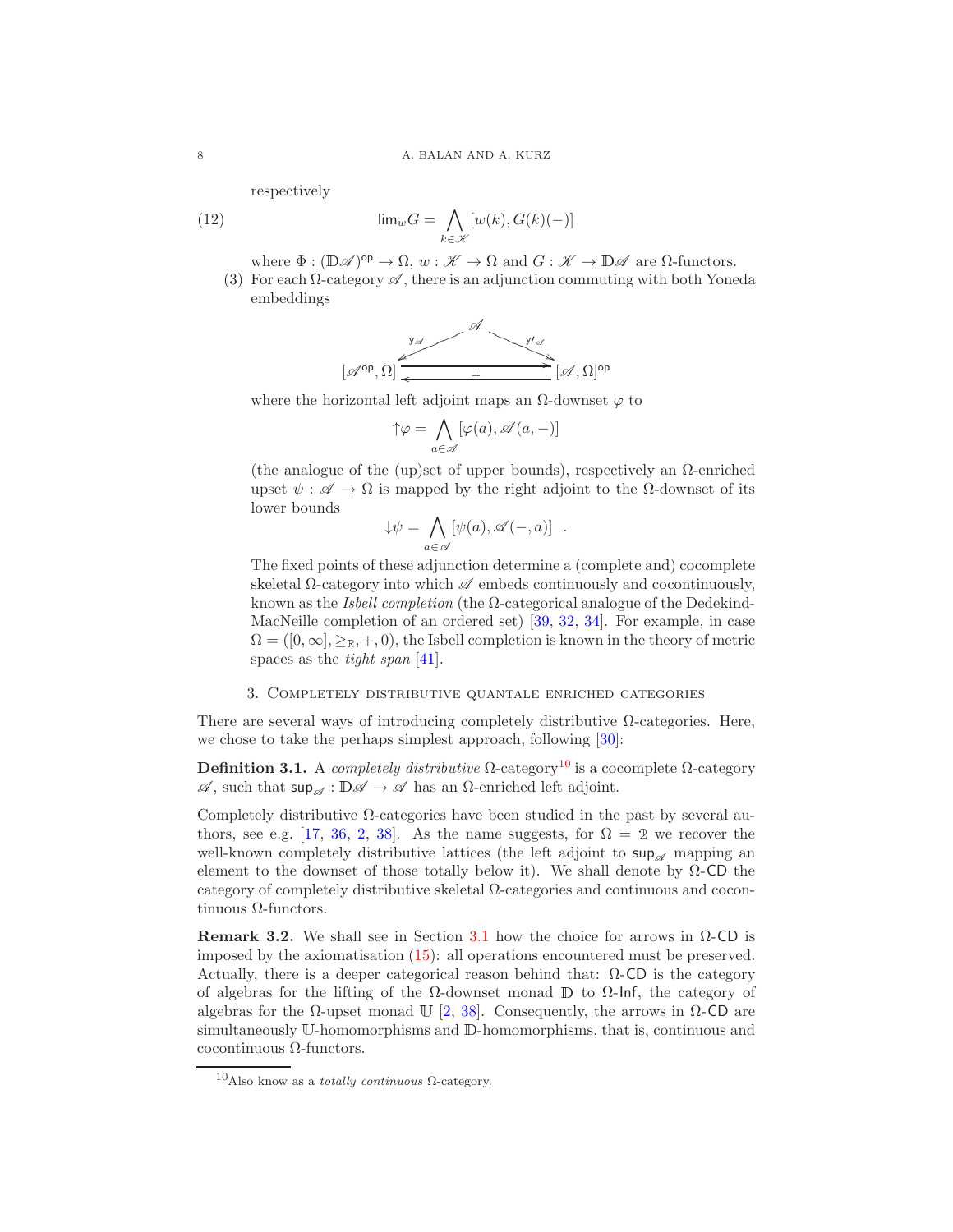respectively

(12) 
$$
\lim_{w \to 0} G = \bigwedge_{k \in \mathcal{K}} [w(k), G(k)(-)]
$$

where  $\Phi : (\mathbb{D}\mathscr{A})^{\text{op}} \to \Omega$ ,  $w : \mathscr{K} \to \Omega$  and  $G : \mathscr{K} \to \mathbb{D}\mathscr{A}$  are  $\Omega$ -functors.

(3) For each  $\Omega$ -category  $\mathscr A$ , there is an adjunction commuting with both Yoneda embeddings

<span id="page-7-1"></span>
$$
[\mathscr{A}^{op}, \Omega] \xrightarrow{\mathscr{A}} [\mathscr{A}, \Omega]^{op}
$$

where the horizontal left adjoint maps an  $\Omega$ -downset  $\varphi$  to

$$
\uparrow\!\varphi=\bigwedge_{a\in\mathscr{A}}[\varphi(a),\mathscr{A}(a,-)]
$$

(the analogue of the (up)set of upper bounds), respectively an  $\Omega$ -enriched upset  $\psi : \mathscr{A} \to \Omega$  is mapped by the right adjoint to the  $\Omega$ -downset of its lower bounds

$$
\downarrow \psi = \bigwedge_{a \in \mathscr{A}} [\psi(a), \mathscr{A}(-, a)] .
$$

The fixed points of these adjunction determine a (complete and) cocomplete skeletal  $\Omega$ -category into which  $\mathscr A$  embeds continuously and cocontinuously, known as the *Isbell completion* (the  $\Omega$ -categorical analogue of the Dedekind-MacNeille completion of an ordered set) [\[39,](#page-15-1) [32,](#page-14-22) [34\]](#page-14-16). For example, in case  $\Omega = (0, \infty, >\mathbb{R}, +, 0)$ , the Isbell completion is known in the theory of metric spaces as the *tight span* [\[41\]](#page-15-4).

## 3. Completely distributive quantale enriched categories

There are several ways of introducing completely distributive  $\Omega$ -categories. Here, we chose to take the perhaps simplest approach, following [\[30\]](#page-14-23):

Definition 3.1. A completely distributive  $\Omega$ -category<sup>[10](#page-7-0)</sup> is a cocomplete  $\Omega$ -category  $\mathscr{A}$ , such that  $\sup_{\mathscr{A}} : \mathbb{D}\mathscr{A} \to \mathscr{A}$  has an  $\Omega$ -enriched left adjoint.

Completely distributive  $\Omega$ -categories have been studied in the past by several au-thors, see e.g. [\[17,](#page-14-13) [36,](#page-14-10) [2,](#page-13-0) [38\]](#page-15-0). As the name suggests, for  $\Omega = 2$  we recover the well-known completely distributive lattices (the left adjoint to  $\sup_{\alpha}$  mapping an element to the downset of those totally below it). We shall denote by  $\Omega$ -CD the category of completely distributive skeletal Ω-categories and continuous and cocontinuous Ω-functors.

Remark 3.2. We shall see in Section [3.1](#page-8-0) how the choice for arrows in  $\Omega$ -CD is imposed by the axiomatisation [\(15\)](#page-10-0): all operations encountered must be preserved. Actually, there is a deeper categorical reason behind that:  $\Omega$ -CD is the category of algebras for the lifting of the  $\Omega$ -downset monad  $\mathbb D$  to  $\Omega$ -lnf, the category of algebras for the  $\Omega$ -upset monad U [\[2,](#page-13-0) [38\]](#page-15-0). Consequently, the arrows in  $\Omega$ -CD are simultaneously <sup>U</sup>-homomorphisms and <sup>D</sup>-homomorphisms, that is, continuous and cocontinuous Ω-functors.

<span id="page-7-0"></span> $10$ Also know as a *totally continuous* Ω-category.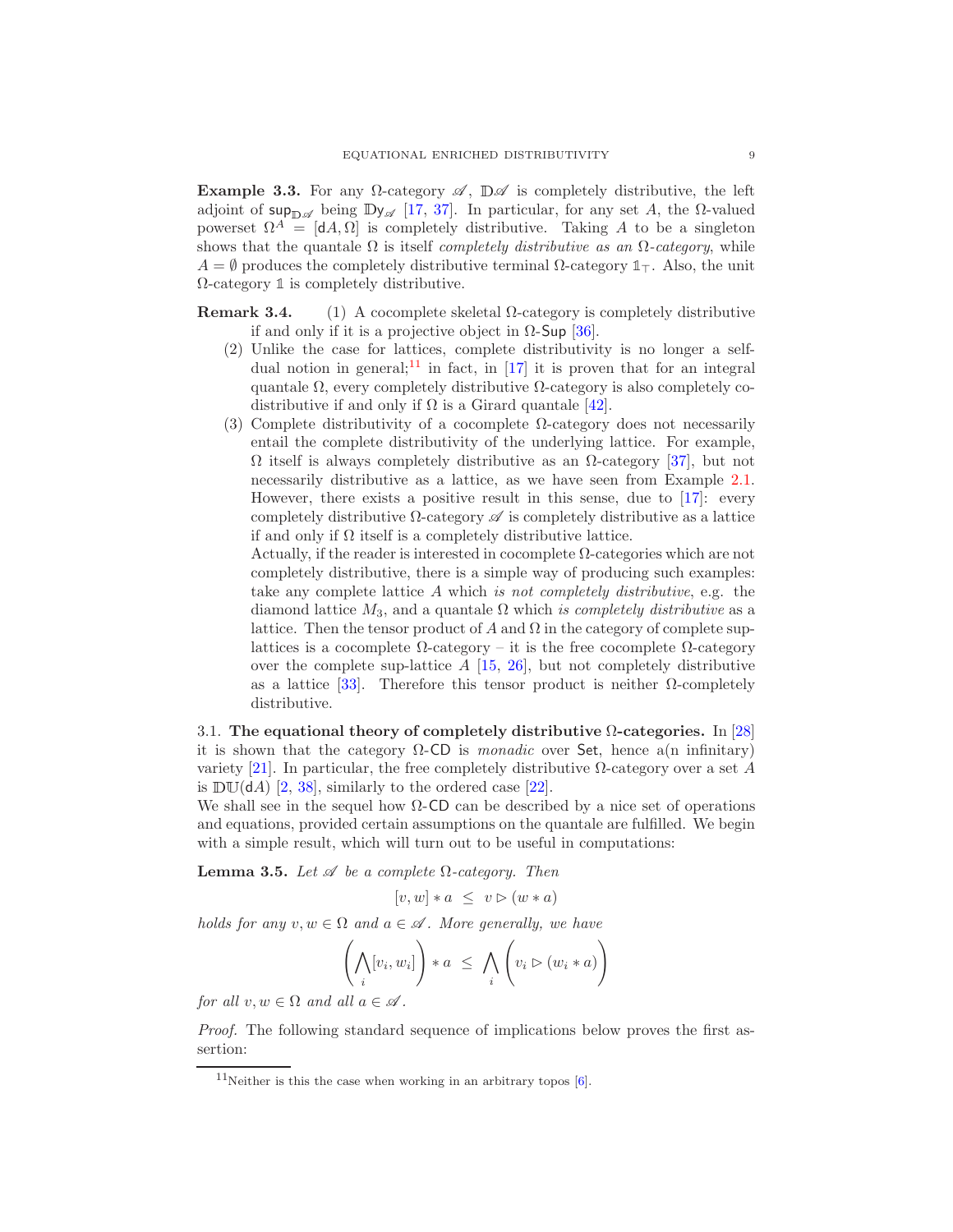Example 3.3. For any  $\Omega$ -category  $\mathscr A$ ,  $\mathbb{D}\mathscr A$  is completely distributive, the left adjoint of sup<sub>DA</sub> being Dy<sub>A</sub> [\[17,](#page-14-13) [37\]](#page-14-7). In particular, for any set A, the  $\Omega$ -valued powerset  $\Omega^A = [dA, \Omega]$  is completely distributive. Taking A to be a singleton shows that the quantale  $\Omega$  is itself *completely distributive as an*  $\Omega$ -category, while A = ∅ produces the completely distributive terminal Ω-category **1**⊤. Also, the unit Ω-category **1** is completely distributive.

Remark 3.4. (1) A cocomplete skeletal  $\Omega$ -category is completely distributive if and only if it is a projective object in  $Ω$ -Sup [\[36\]](#page-14-10).

- (2) Unlike the case for lattices, complete distributivity is no longer a self-dual notion in general;<sup>[11](#page-8-1)</sup> in fact, in [\[17\]](#page-14-13) it is proven that for an integral quantale  $\Omega$ , every completely distributive  $\Omega$ -category is also completely codistributive if and only if  $\Omega$  is a Girard quantale [\[42\]](#page-15-5).
- (3) Complete distributivity of a cocomplete  $\Omega$ -category does not necessarily entail the complete distributivity of the underlying lattice. For example,  $Ω$  itself is always completely distributive as an  $Ω$ -category [\[37\]](#page-14-7), but not necessarily distributive as a lattice, as we have seen from Example 2.1. However, there exists a positive result in this sense, due to [\[17\]](#page-14-13): every completely distributive  $\Omega$ -category  $\mathscr A$  is completely distributive as a lattice if and only if  $\Omega$  itself is a completely distributive lattice.

Actually, if the reader is interested in cocomplete  $\Omega$ -categories which are not completely distributive, there is a simple way of producing such examples: take any complete lattice A which is not completely distributive, e.g. the diamond lattice  $M_3$ , and a quantale  $\Omega$  which is completely distributive as a lattice. Then the tensor product of  $A$  and  $\Omega$  in the category of complete suplattices is a cocomplete  $\Omega$ -category – it is the free cocomplete  $\Omega$ -category over the complete sup-lattice  $A$  [\[15,](#page-14-8) [26\]](#page-14-9), but not completely distributive as a lattice [\[33\]](#page-14-24). Therefore this tensor product is neither  $\Omega$ -completely distributive.

<span id="page-8-0"></span>3.1. The equational theory of completely distributive  $\Omega$ -categories. In [\[28\]](#page-14-4) it is shown that the category  $\Omega$ -CD is *monadic* over Set, hence a(n infinitary) variety [\[21\]](#page-14-14). In particular, the free completely distributive  $\Omega$ -category over a set A is  $DU(dA)$  [\[2,](#page-13-0) [38\]](#page-15-0), similarly to the ordered case [\[22\]](#page-14-25).

We shall see in the sequel how  $\Omega$ -CD can be described by a nice set of operations and equations, provided certain assumptions on the quantale are fulfilled. We begin with a simple result, which will turn out to be useful in computations:

<span id="page-8-2"></span>**Lemma 3.5.** Let  $\mathscr A$  be a complete  $\Omega$ -category. Then

 $[v, w] * a \leq v \triangleright (w * a)$ 

holds for any  $v, w \in \Omega$  and  $a \in \mathcal{A}$ . More generally, we have

$$
\left(\bigwedge_i [v_i, w_i]\right) * a \leq \bigwedge_i \left(v_i \triangleright (w_i * a)\right)
$$

for all  $v, w \in \Omega$  and all  $a \in \mathscr{A}$ .

Proof. The following standard sequence of implications below proves the first assertion:

<span id="page-8-1"></span> $11$ Neither is this the case when working in an arbitrary topos [\[6\]](#page-13-4).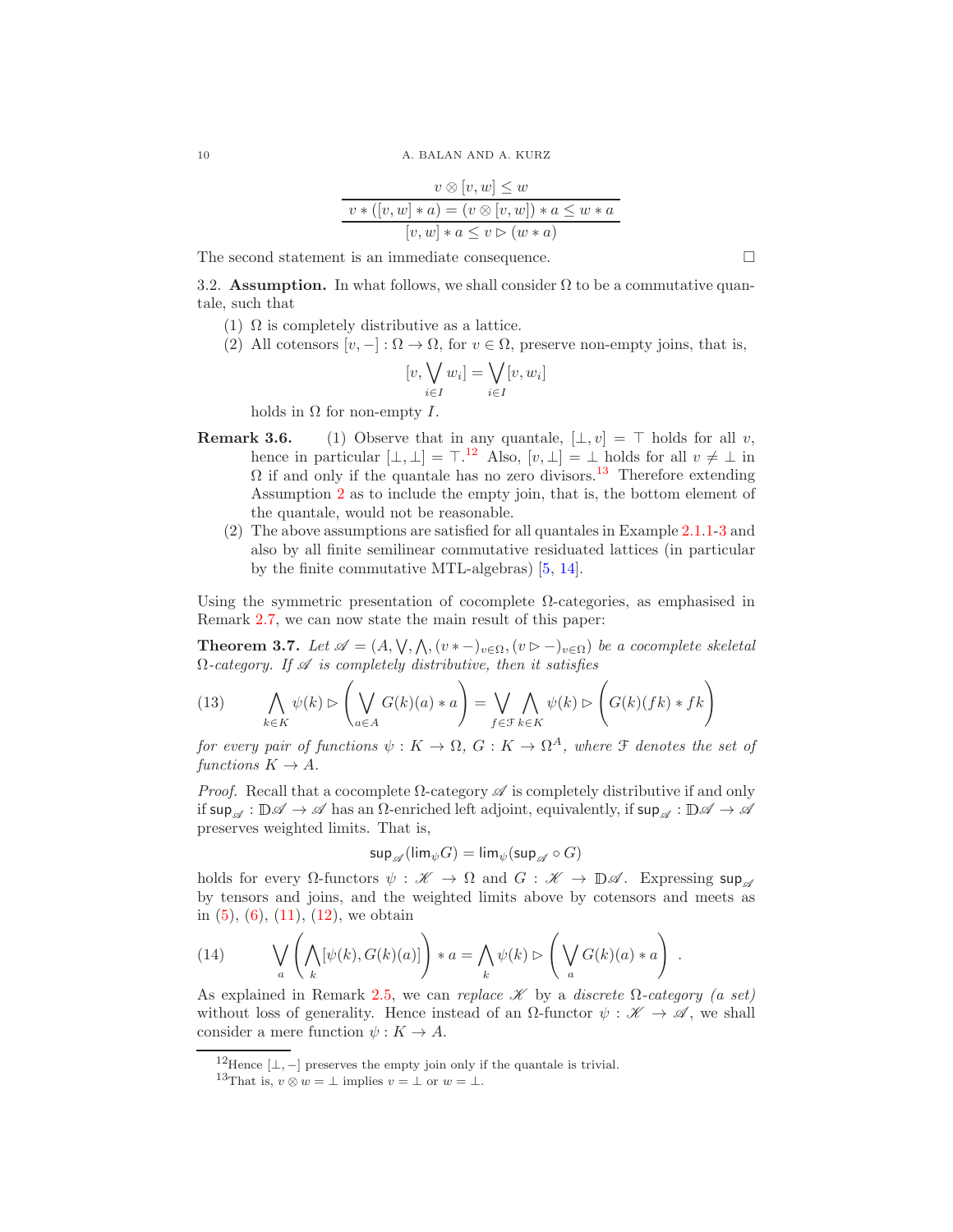$$
v \otimes [v, w] \leq w
$$
  

$$
v * ([v, w] * a) = (v \otimes [v, w]) * a \leq w * a
$$
  

$$
[v, w] * a \leq v \triangleright (w * a)
$$

<span id="page-9-7"></span>The second statement is an immediate consequence.  $\Box$ 

<span id="page-9-4"></span>3.2. Assumption. In what follows, we shall consider  $\Omega$  to be a commutative quantale, such that

- <span id="page-9-2"></span>(1)  $\Omega$  is completely distributive as a lattice.
- (2) All cotensors  $[v, -]: \Omega \to \Omega$ , for  $v \in \Omega$ , preserve non-empty joins, that is,

$$
[v, \bigvee_{i \in I} w_i] = \bigvee_{i \in I} [v, w_i]
$$

holds in  $\Omega$  for non-empty  $I$ .

- **Remark 3.6.** (1) Observe that in any quantale,  $[\bot, v] = \top$  holds for all v, hence in particular  $[\bot, \bot] = \top^{12}$  $[\bot, \bot] = \top^{12}$  $[\bot, \bot] = \top^{12}$ . Also,  $[v, \bot] = \bot$  holds for all  $v \neq \bot$  in  $\Omega$  if and only if the quantale has no zero divisors.<sup>[13](#page-9-1)</sup> Therefore extending Assumption [2](#page-9-2) as to include the empty join, that is, the bottom element of the quantale, would not be reasonable.
	- (2) The above assumptions are satisfied for all quantales in Example 2.1[.1-](#page-2-4)[3](#page-2-5) and also by all finite semilinear commutative residuated lattices (in particular by the finite commutative MTL-algebras) [\[5,](#page-13-5) [14\]](#page-14-26).

Using the symmetric presentation of cocomplete  $\Omega$ -categories, as emphasised in Remark [2.7,](#page-6-3) we can now state the main result of this paper:

<span id="page-9-5"></span>**Theorem 3.7.** Let  $\mathscr{A} = (A, \vee, \wedge, (v * -)_{v \in \Omega}, (v \triangleright -)_{v \in \Omega})$  be a cocomplete skeletal  $\Omega$ -category. If  $\mathscr A$  is completely distributive, then it satisfies

<span id="page-9-6"></span>(13) 
$$
\bigwedge_{k \in K} \psi(k) \rhd \left( \bigvee_{a \in A} G(k)(a) * a \right) = \bigvee_{f \in \mathcal{F}} \bigwedge_{k \in K} \psi(k) \rhd \left( G(k)(fk) * fk \right)
$$

for every pair of functions  $\psi: K \to \Omega$ ,  $G: K \to \Omega^A$ , where  $\mathfrak F$  denotes the set of functions  $K \to A$ .

*Proof.* Recall that a cocomplete  $\Omega$ -category  $\mathscr A$  is completely distributive if and only if  $\sup_{\mathscr{A}} : \mathbb{D}\mathscr{A} \to \mathscr{A}$  has an  $\Omega$ -enriched left adjoint, equivalently, if  $\sup_{\mathscr{A}} : \mathbb{D}\mathscr{A} \to \mathscr{A}$ preserves weighted limits. That is,

$$
\mathsf{sup}_{\mathscr{A}}(\mathsf{lim}_{\psi} G) = \mathsf{lim}_{\psi}(\mathsf{sup}_{\mathscr{A}} \circ G)
$$

holds for every  $\Omega$ -functors  $\psi : \mathscr{K} \to \Omega$  and  $G : \mathscr{K} \to \mathbb{D}\mathscr{A}$ . Expressing sup by tensors and joins, and the weighted limits above by cotensors and meets as in  $(5)$ ,  $(6)$ ,  $(11)$ ,  $(12)$ , we obtain

<span id="page-9-3"></span>(14) 
$$
\bigvee_{a} \left( \bigwedge_{k} [\psi(k), G(k)(a)] \right) * a = \bigwedge_{k} \psi(k) \triangleright \left( \bigvee_{a} G(k)(a) * a \right).
$$

As explained in Remark [2.5,](#page-5-4) we can replace  $\mathscr K$  by a discrete  $\Omega$ -category (a set) without loss of generality. Hence instead of an  $\Omega$ -functor  $\psi : \mathscr{K} \to \mathscr{A}$ , we shall consider a mere function  $\psi: K \to A$ .

<sup>&</sup>lt;sup>12</sup>Hence [ $\perp$ , –] preserves the empty join only if the quantale is trivial.

<span id="page-9-1"></span><span id="page-9-0"></span><sup>&</sup>lt;sup>13</sup>That is,  $v \otimes w = \perp$  implies  $v = \perp$  or  $w = \perp$ .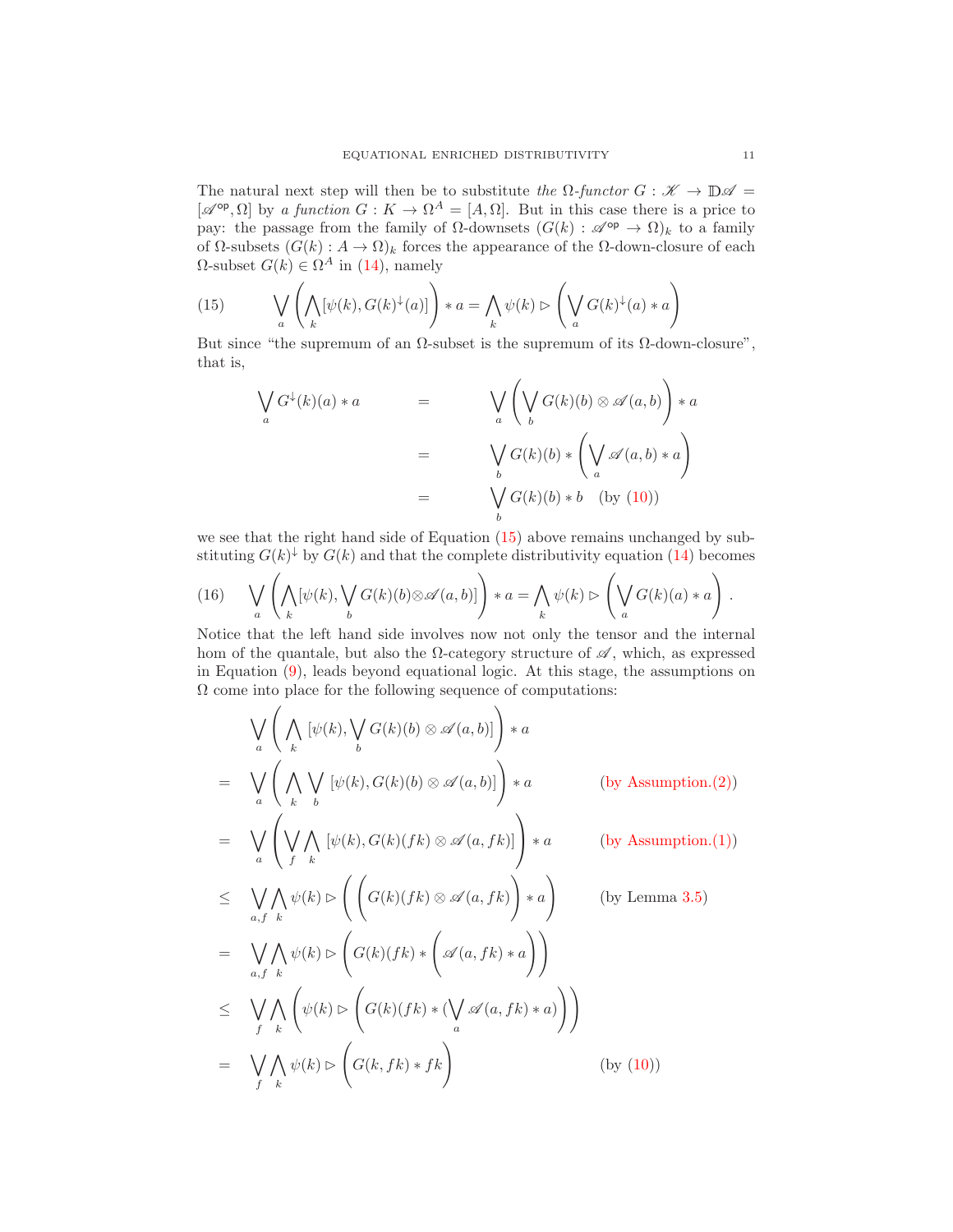The natural next step will then be to substitute the  $\Omega$ -functor  $G : \mathscr{K} \to \mathbb{D}\mathscr{A} =$  $[\mathscr{A}^{\text{op}}, \Omega]$  by a function  $G: K \to \Omega^A = [A, \Omega]$ . But in this case there is a price to pay: the passage from the family of  $\Omega$ -downsets  $(G(k) : \mathscr{A}^{\text{op}} \to \Omega)_k$  to a family of Ω-subsets  $(G(k) : A \to \Omega)_k$  forces the appearance of the Ω-down-closure of each  $Ω$ -subset  $G(k) \in Ω<sup>A</sup>$  in [\(14\)](#page-9-3), namely

<span id="page-10-0"></span>(15) 
$$
\bigvee_{a} \left( \bigwedge_{k} [\psi(k), G(k)^{\downarrow}(a)] \right) * a = \bigwedge_{k} \psi(k) \triangleright \left( \bigvee_{a} G(k)^{\downarrow}(a) * a \right)
$$

But since "the supremum of an  $\Omega$ -subset is the supremum of its  $\Omega$ -down-closure", that is,

$$
\bigvee_{a} G^{\downarrow}(k)(a) * a = \bigvee_{a} \left( \bigvee_{b} G(k)(b) \otimes \mathscr{A}(a, b) \right) * a
$$
  

$$
= \bigvee_{b} G(k)(b) * \left( \bigvee_{a} \mathscr{A}(a, b) * a \right)
$$
  

$$
= \bigvee_{b} G(k)(b) * b \quad \text{(by (10))}
$$

we see that the right hand side of Equation [\(15\)](#page-10-0) above remains unchanged by substituting  $G(k)^{\downarrow}$  by  $G(k)$  and that the complete distributivity equation [\(14\)](#page-9-3) becomes

<span id="page-10-1"></span>(16) 
$$
\bigvee_{a} \left( \bigwedge_{k} [\psi(k), \bigvee_{b} G(k)(b) \otimes \mathscr{A}(a, b)] \right) * a = \bigwedge_{k} \psi(k) \triangleright \left( \bigvee_{a} G(k)(a) * a \right).
$$

Notice that the left hand side involves now not only the tensor and the internal hom of the quantale, but also the  $\Omega$ -category structure of  $\mathscr{A}$ , which, as expressed in Equation [\(9\)](#page-6-6), leads beyond equational logic. At this stage, the assumptions on  $\Omega$  come into place for the following sequence of computations:

$$
\bigvee_{a} \left( \bigwedge_{k} [\psi(k), \bigvee_{b} G(k)(b) \otimes \mathscr{A}(a, b)] \right) * a
$$
\n
$$
= \bigvee_{a} \left( \bigwedge_{k} \bigvee_{b} [\psi(k), G(k)(b) \otimes \mathscr{A}(a, b)] \right) * a \qquad \text{(by Assumption. (2))}
$$
\n
$$
= \bigvee_{a} \left( \bigvee_{f} \bigwedge_{k} [\psi(k), G(k)(fk) \otimes \mathscr{A}(a, fk)] \right) * a \qquad \text{(by Assumption. (1))}
$$
\n
$$
\leq \bigvee_{a, f} \bigwedge_{k} \psi(k) \triangleright \left( \left( G(k)(fk) \otimes \mathscr{A}(a, fk) \right) * a \right) \qquad \text{(by Lemma 3.5)}
$$
\n
$$
= \bigvee_{a, f} \bigwedge_{k} \psi(k) \triangleright \left( G(k)(fk) * \left( \mathscr{A}(a, fk) * a \right) \right)
$$
\n
$$
\leq \bigvee_{f} \bigwedge_{k} \left( \psi(k) \triangleright \left( G(k)(fk) * \left( \bigvee_{a} \mathscr{A}(a, fk) * a \right) \right) \right)
$$
\n
$$
= \bigvee_{f} \bigwedge_{k} \psi(k) \triangleright \left( G(k, fk) * f k \right) \qquad \text{(by (10))}
$$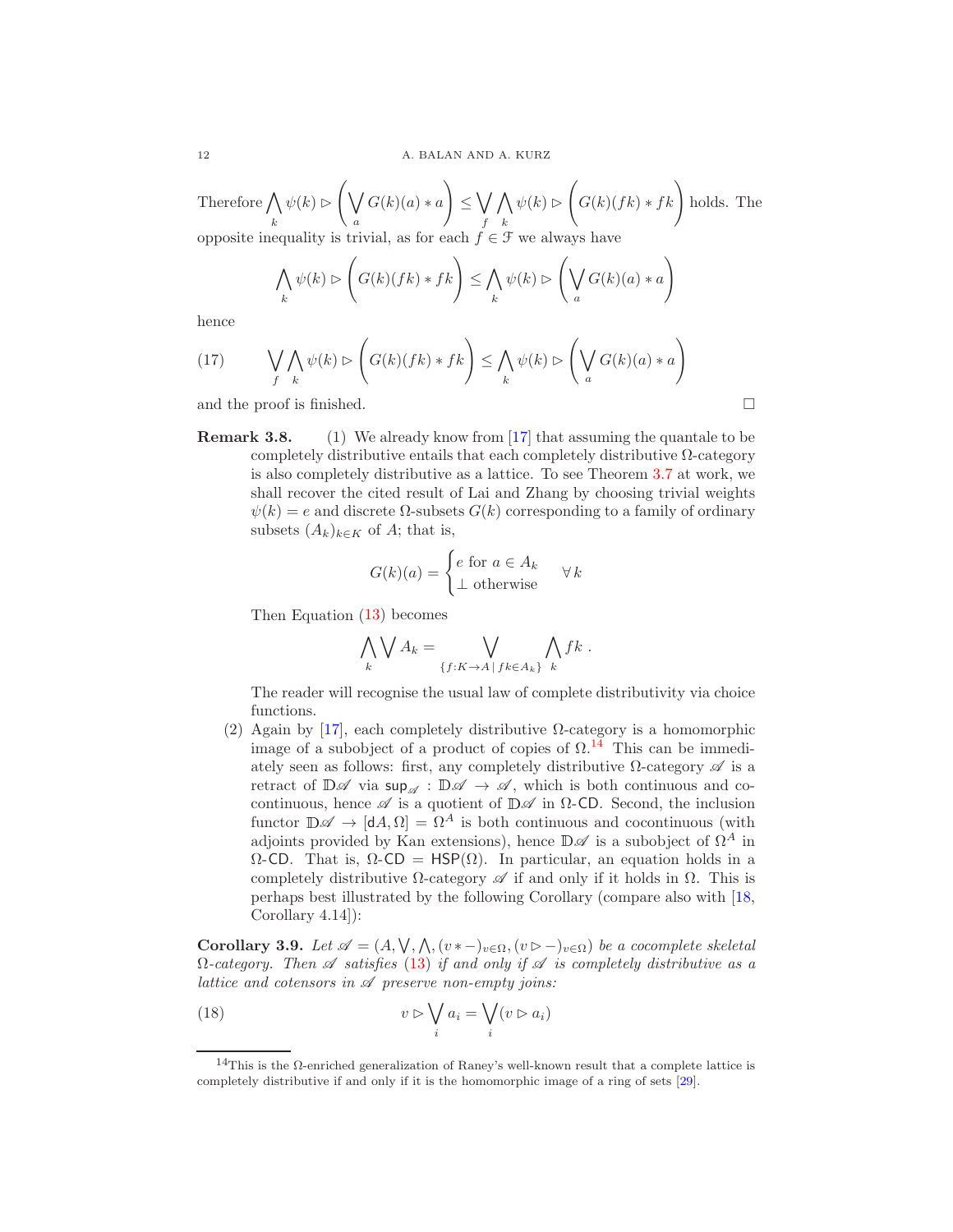Therefore  $\bigwedge$ k  $\psi(k) \triangleright \left( \bigvee$ a  $G(k)(a) * a$  $\setminus$  $\leq \bigvee$ f  $\wedge$ k  $\psi(k) \triangleright \left( G(k)(fk) * fk \right)$  holds. The opposite inequality is trivial, as for each  $f \in \mathcal{F}$  we always have

$$
\bigwedge_{k} \psi(k) \triangleright \left( G(k)(fk) * fk \right) \leq \bigwedge_{k} \psi(k) \triangleright \left( \bigvee_{a} G(k)(a) * a \right)
$$

hence

(17) 
$$
\bigvee_{f} \bigwedge_{k} \psi(k) \supset \left( G(k)(fk) * fk \right) \leq \bigwedge_{k} \psi(k) \supset \left( \bigvee_{a} G(k)(a) * a \right)
$$

and the proof is finished.  $\Box$ 

Remark 3.8. (1) We already know from [\[17\]](#page-14-13) that assuming the quantale to be completely distributive entails that each completely distributive  $\Omega$ -category is also completely distributive as a lattice. To see Theorem [3.7](#page-9-5) at work, we shall recover the cited result of Lai and Zhang by choosing trivial weights  $\psi(k) = e$  and discrete  $\Omega$ -subsets  $G(k)$  corresponding to a family of ordinary subsets  $(A_k)_{k\in K}$  of A; that is,

$$
G(k)(a) = \begin{cases} e \text{ for } a \in A_k \\ \bot \text{ otherwise} \end{cases} \forall k
$$

Then Equation [\(13\)](#page-9-6) becomes

$$
\bigwedge_k \bigvee A_k = \bigvee_{\{f:K \to A \mid fk \in A_k\}} \bigwedge_k fk \; .
$$

The reader will recognise the usual law of complete distributivity via choice functions.

(2) Again by [\[17\]](#page-14-13), each completely distributive  $\Omega$ -category is a homomorphic image of a subobject of a product of copies of  $\Omega$ .<sup>[14](#page-11-0)</sup> This can be immediately seen as follows: first, any completely distributive  $\Omega$ -category  $\mathscr A$  is a retract of  $\mathbb{D}\mathscr{A}$  via  $\sup_{\mathscr{A}} : \mathbb{D}\mathscr{A} \to \mathscr{A}$ , which is both continuous and cocontinuous, hence  $\mathscr A$  is a quotient of  $\mathbb D\mathscr A$  in  $\Omega$ -CD. Second, the inclusion functor  $\mathbb{D}\mathscr{A} \to [\mathsf{d}A,\Omega] = \Omega^A$  is both continuous and cocontinuous (with adjoints provided by Kan extensions), hence  $\mathbb{D}\mathscr{A}$  is a subobject of  $\Omega^A$  in  $Ω$ -CD. That is,  $Ω$ -CD = HSP( $Ω$ ). In particular, an equation holds in a completely distributive  $\Omega$ -category  $\mathscr A$  if and only if it holds in  $\Omega$ . This is perhaps best illustrated by the following Corollary (compare also with [\[18,](#page-14-27) Corollary 4.14]):

Corollary 3.9. Let  $\mathscr{A} = (A, \bigvee, \bigwedge, (v * -)_{v \in \Omega}, (v \triangleright -)_{v \in \Omega})$  be a cocomplete skeletal  $\Omega$ -category. Then  $\mathscr A$  satisfies [\(13\)](#page-9-6) if and only if  $\mathscr A$  is completely distributive as a lattice and cotensors in  $\mathscr A$  preserve non-empty joins:

<span id="page-11-1"></span>(18) 
$$
v \triangleright \bigvee_i a_i = \bigvee_i (v \triangleright a_i)
$$

<span id="page-11-0"></span><sup>&</sup>lt;sup>14</sup>This is the Ω-enriched generalization of Raney's well-known result that a complete lattice is completely distributive if and only if it is the homomorphic image of a ring of sets [\[29\]](#page-14-28).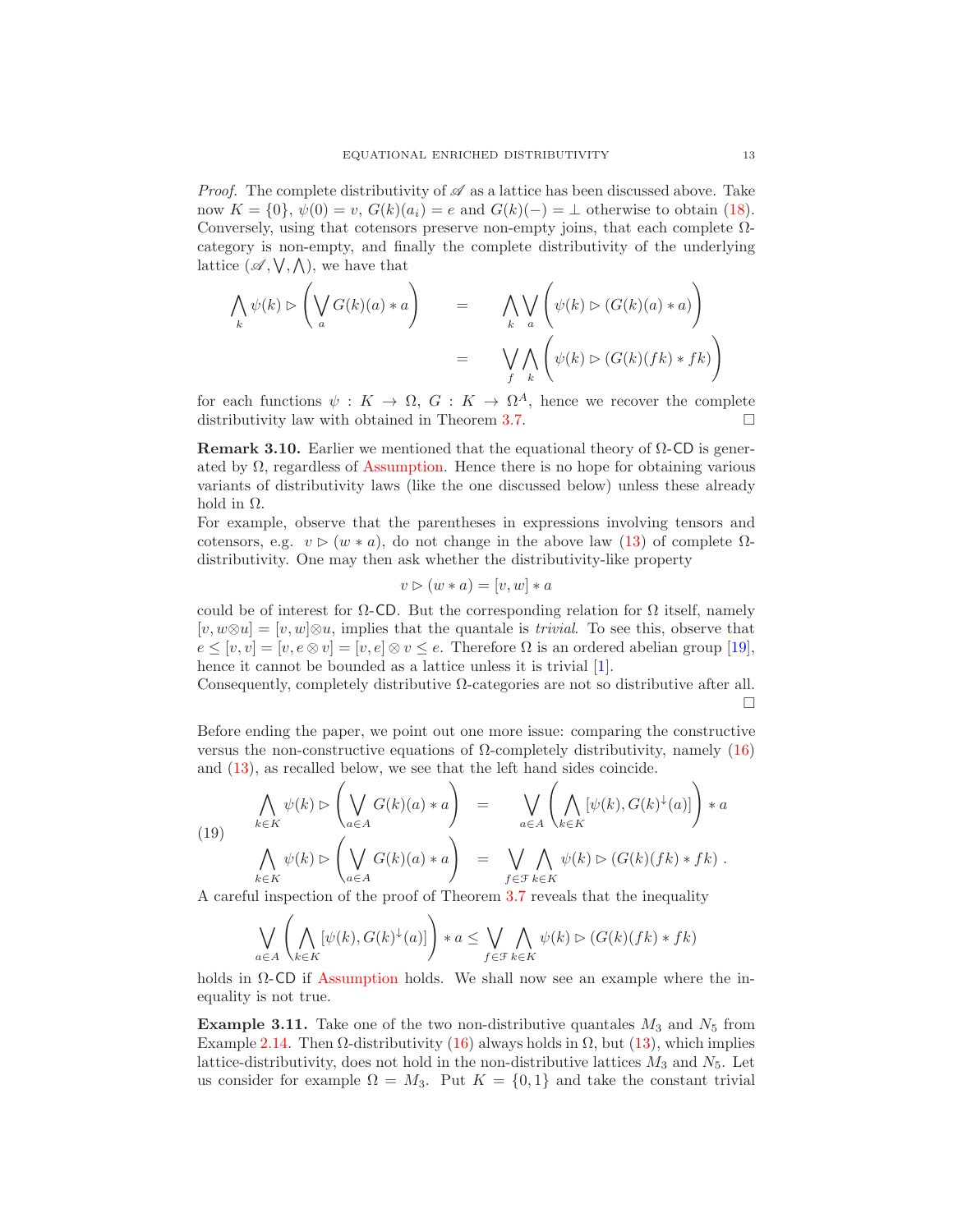*Proof.* The complete distributivity of  $\mathscr A$  as a lattice has been discussed above. Take now  $K = \{0\}, \psi(0) = v, G(k)(a_i) = e$  and  $G(k)(-) = \bot$  otherwise to obtain [\(18\)](#page-11-1). Conversely, using that cotensors preserve non-empty joins, that each complete  $\Omega$ category is non-empty, and finally the complete distributivity of the underlying lattice  $(\mathscr{A}, \vee, \wedge)$ , we have that

$$
\bigwedge_{k} \psi(k) \triangleright \left( \bigvee_{a} G(k)(a) * a \right) = \bigwedge_{k} \bigvee_{a} \left( \psi(k) \triangleright (G(k)(a) * a) \right)
$$
\n
$$
= \bigvee_{f} \bigwedge_{k} \left( \psi(k) \triangleright (G(k)(fk) * fk) \right)
$$

for each functions  $\psi: K \to \Omega, G: K \to \Omega^A$ , hence we recover the complete distributivity law with obtained in Theorem [3.7.](#page-9-5)

**Remark 3.10.** Earlier we mentioned that the equational theory of  $\Omega$ -CD is generated by  $\Omega$ , regardless of [Assumption.](#page-9-7) Hence there is no hope for obtaining various variants of distributivity laws (like the one discussed below) unless these already hold in  $\Omega$ .

For example, observe that the parentheses in expressions involving tensors and cotensors, e.g.  $v \triangleright (w * a)$ , do not change in the above law [\(13\)](#page-9-6) of complete  $\Omega$ distributivity. One may then ask whether the distributivity-like property

$$
v \triangleright (w * a) = [v, w] * a
$$

could be of interest for  $\Omega$ -CD. But the corresponding relation for  $\Omega$  itself, namely  $[v, w\otimes u] = [v, w]\otimes u$ , implies that the quantale is *trivial*. To see this, observe that  $e \leq [v, v] = [v, e \otimes v] = [v, e] \otimes v \leq e$ . Therefore  $\Omega$  is an ordered abelian group [\[19\]](#page-14-29), hence it cannot be bounded as a lattice unless it is trivial [\[1\]](#page-13-6).

Consequently, completely distributive  $\Omega$ -categories are not so distributive after all. П

Before ending the paper, we point out one more issue: comparing the constructive versus the non-constructive equations of Ω-completely distributivity, namely [\(16\)](#page-10-1) and [\(13\)](#page-9-6), as recalled below, we see that the left hand sides coincide.

(19) 
$$
\bigwedge_{k \in K} \psi(k) \rhd \left(\bigvee_{a \in A} G(k)(a) * a\right) = \bigvee_{a \in A} \left(\bigwedge_{k \in K} [\psi(k), G(k)^{\downarrow}(a)]\right) * a
$$

$$
\bigwedge_{k \in K} \psi(k) \rhd \left(\bigvee_{a \in A} G(k)(a) * a\right) = \bigvee_{f \in \mathcal{F}} \bigwedge_{k \in K} \psi(k) \rhd (G(k)(fk) * fk).
$$

A careful inspection of the proof of Theorem [3.7](#page-9-5) reveals that the inequality

$$
\bigvee_{a \in A} \left( \bigwedge_{k \in K} [\psi(k), G(k)^{\downarrow}(a)] \right) * a \leq \bigvee_{f \in \mathcal{F}} \bigwedge_{k \in K} \psi(k) \triangleright (G(k)(fk) * fk)
$$

holds in  $\Omega$ -CD if [Assumption](#page-9-7) holds. We shall now see an example where the inequality is not true.

**Example 3.11.** Take one of the two non-distributive quantales  $M_3$  and  $N_5$  from Example 2.[14.](#page-2-6) Then  $\Omega$ -distributivity [\(16\)](#page-10-1) always holds in  $\Omega$ , but [\(13\)](#page-9-6), which implies lattice-distributivity, does not hold in the non-distributive lattices  $M_3$  and  $N_5$ . Let us consider for example  $\Omega = M_3$ . Put  $K = \{0, 1\}$  and take the constant trivial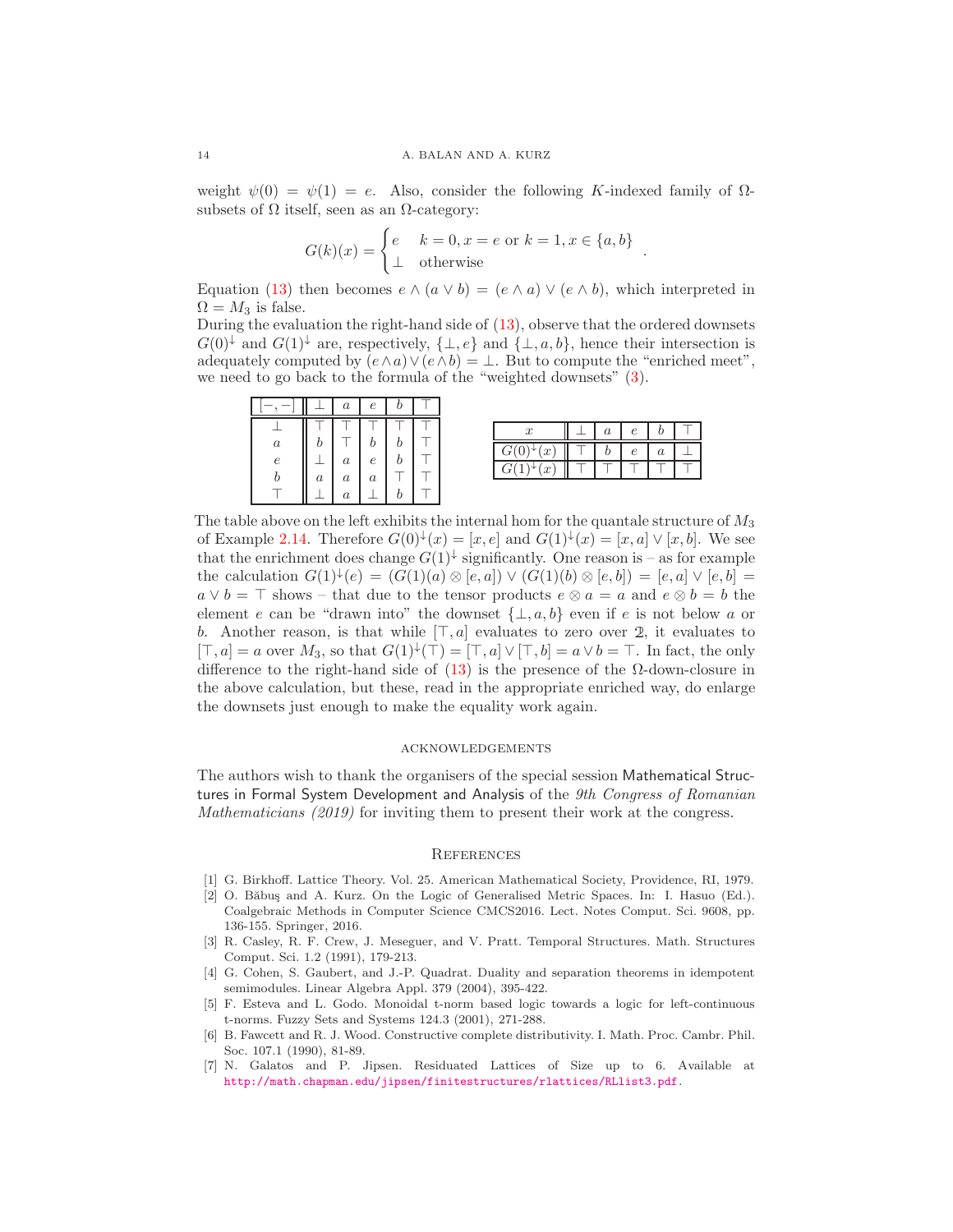weight  $\psi(0) = \psi(1) = e$ . Also, consider the following K-indexed family of  $\Omega$ subsets of  $\Omega$  itself, seen as an  $\Omega$ -category:

$$
G(k)(x) = \begin{cases} e & k = 0, x = e \text{ or } k = 1, x \in \{a, b\} \\ \perp & \text{otherwise} \end{cases}
$$

.

Equation [\(13\)](#page-9-6) then becomes  $e \wedge (a \vee b) = (e \wedge a) \vee (e \wedge b)$ , which interpreted in  $\Omega = M_3$  is false.

During the evaluation the right-hand side of [\(13\)](#page-9-6), observe that the ordered downsets  $G(0)^{\downarrow}$  and  $G(1)^{\downarrow}$  are, respectively,  $\{\perp, e\}$  and  $\{\perp, a, b\}$ , hence their intersection is adequately computed by  $(e \wedge a) \vee (e \wedge b) = \bot$ . But to compute the "enriched meet", we need to go back to the formula of the "weighted downsets" [\(3\)](#page-4-3).

|                  |                  | $\boldsymbol{a}$                     | $\epsilon$ |  |  |                  |            |         |  |
|------------------|------------------|--------------------------------------|------------|--|--|------------------|------------|---------|--|
|                  |                  |                                      |            |  |  | $\boldsymbol{a}$ | $\epsilon$ | 1)      |  |
| $\boldsymbol{a}$ |                  |                                      |            |  |  | υ                | $\epsilon$ | $\it a$ |  |
| e                | $\boldsymbol{a}$ | $\boldsymbol{a}$<br>$\boldsymbol{a}$ | е<br>a     |  |  |                  |            |         |  |
|                  |                  | $\boldsymbol{a}$                     |            |  |  |                  |            |         |  |

The table above on the left exhibits the internal hom for the quantale structure of  $M_3$ of Example 2.[14.](#page-2-6) Therefore  $G(0)^{\downarrow}(x) = [x, e]$  and  $G(1)^{\downarrow}(x) = [x, a] \vee [x, b]$ . We see that the enrichment does change  $G(1)^{\downarrow}$  significantly. One reason is – as for example the calculation  $G(1)^{\downarrow}(e) = (G(1)(a) \otimes [e, a]) \vee (G(1)(b) \otimes [e, b]) = [e, a] \vee [e, b] =$  $a \vee b = \top$  shows – that due to the tensor products  $e \otimes a = a$  and  $e \otimes b = b$  the element e can be "drawn into" the downset  $\{\perp, a, b\}$  even if e is not below a or b. Another reason, is that while  $[\top, a]$  evaluates to zero over 2, it evaluates to  $[\top, a] = a$  over  $M_3$ , so that  $G(1)^{\downarrow}(\top) = [\top, a] \vee [\top, b] = a \vee b = \top$ . In fact, the only difference to the right-hand side of [\(13\)](#page-9-6) is the presence of the Ω-down-closure in the above calculation, but these, read in the appropriate enriched way, do enlarge the downsets just enough to make the equality work again.

#### acknowledgements

The authors wish to thank the organisers of the special session Mathematical Structures in Formal System Development and Analysis of the 9th Congress of Romanian Mathematicians (2019) for inviting them to present their work at the congress.

### **REFERENCES**

- <span id="page-13-6"></span><span id="page-13-0"></span>[1] G. Birkhoff. Lattice Theory. Vol. 25. American Mathematical Society, Providence, RI, 1979.
- [2] O. Băbuș and A. Kurz. On the Logic of Generalised Metric Spaces. In: I. Hasuo (Ed.). Coalgebraic Methods in Computer Science CMCS2016. Lect. Notes Comput. Sci. 9608, pp. 136-155. Springer, 2016.
- <span id="page-13-1"></span>[3] R. Casley, R. F. Crew, J. Meseguer, and V. Pratt. Temporal Structures. Math. Structures Comput. Sci. 1.2 (1991), 179-213.
- <span id="page-13-3"></span>[4] G. Cohen, S. Gaubert, and J.-P. Quadrat. Duality and separation theorems in idempotent semimodules. Linear Algebra Appl. 379 (2004), 395-422.
- <span id="page-13-5"></span>[5] F. Esteva and L. Godo. Monoidal t-norm based logic towards a logic for left-continuous t-norms. Fuzzy Sets and Systems 124.3 (2001), 271-288.
- <span id="page-13-4"></span>[6] B. Fawcett and R. J. Wood. Constructive complete distributivity. I. Math. Proc. Cambr. Phil. Soc. 107.1 (1990), 81-89.
- <span id="page-13-2"></span>[7] N. Galatos and P. Jipsen. Residuated Lattices of Size up to 6. Available at [http://math.chapman.edu/jipsen/finitestructures/rlattices/RLlist3.pdf](http://math. chapman.edu/jipsen/finitestructures/rlattices/RLlist3.pdf).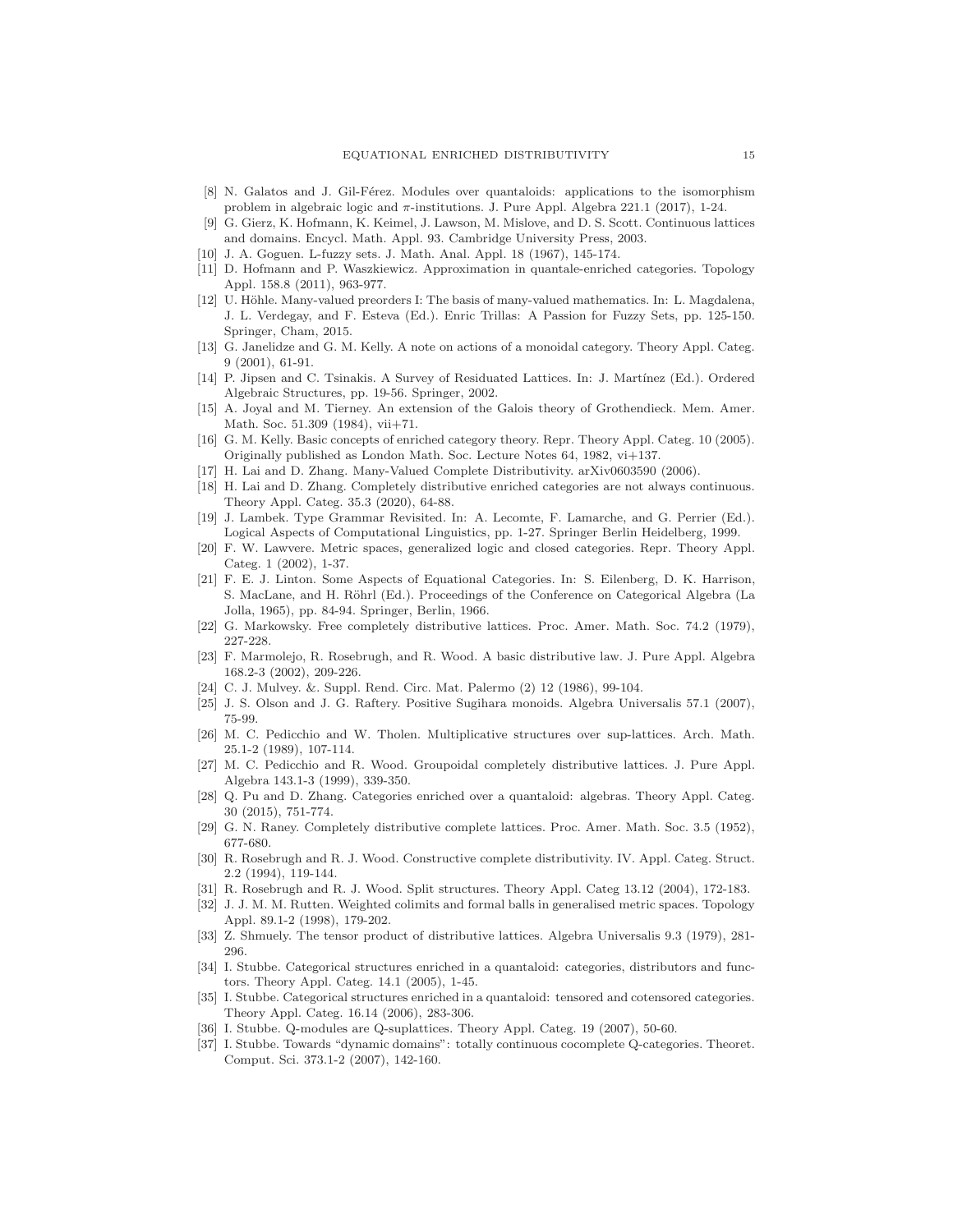- <span id="page-14-12"></span>[8] N. Galatos and J. Gil-Férez. Modules over quantaloids: applications to the isomorphism problem in algebraic logic and  $\pi$ -institutions. J. Pure Appl. Algebra 221.1 (2017), 1-24.
- <span id="page-14-3"></span>[9] G. Gierz, K. Hofmann, K. Keimel, J. Lawson, M. Mislove, and D. S. Scott. Continuous lattices and domains. Encycl. Math. Appl. 93. Cambridge University Press, 2003.
- <span id="page-14-20"></span><span id="page-14-11"></span>[10] J. A. Goguen. L-fuzzy sets. J. Math. Anal. Appl. 18 (1967), 145-174.
- [11] D. Hofmann and P. Waszkiewicz. Approximation in quantale-enriched categories. Topology Appl. 158.8 (2011), 963-977.
- <span id="page-14-18"></span>[12] U. Höhle. Many-valued preorders I: The basis of many-valued mathematics. In: L. Magdalena, J. L. Verdegay, and F. Esteva (Ed.). Enric Trillas: A Passion for Fuzzy Sets, pp. 125-150. Springer, Cham, 2015.
- <span id="page-14-21"></span>[13] G. Janelidze and G. M. Kelly. A note on actions of a monoidal category. Theory Appl. Categ. 9 (2001), 61-91.
- <span id="page-14-26"></span>[14] P. Jipsen and C. Tsinakis. A Survey of Residuated Lattices. In: J. Martínez (Ed.). Ordered Algebraic Structures, pp. 19-56. Springer, 2002.
- <span id="page-14-8"></span>[15] A. Joyal and M. Tierney. An extension of the Galois theory of Grothendieck. Mem. Amer. Math. Soc. 51.309 (1984), vii+71.
- <span id="page-14-15"></span>[16] G. M. Kelly. Basic concepts of enriched category theory. Repr. Theory Appl. Categ. 10 (2005). Originally published as London Math. Soc. Lecture Notes 64, 1982, vi+137.
- <span id="page-14-27"></span><span id="page-14-13"></span>[17] H. Lai and D. Zhang. Many-Valued Complete Distributivity. arXiv0603590 (2006).
- [18] H. Lai and D. Zhang. Completely distributive enriched categories are not always continuous. Theory Appl. Categ. 35.3 (2020), 64-88.
- <span id="page-14-29"></span>[19] J. Lambek. Type Grammar Revisited. In: A. Lecomte, F. Lamarche, and G. Perrier (Ed.). Logical Aspects of Computational Linguistics, pp. 1-27. Springer Berlin Heidelberg, 1999.
- <span id="page-14-6"></span>[20] F. W. Lawvere. Metric spaces, generalized logic and closed categories. Repr. Theory Appl. Categ. 1 (2002), 1-37.
- <span id="page-14-14"></span>[21] F. E. J. Linton. Some Aspects of Equational Categories. In: S. Eilenberg, D. K. Harrison, S. MacLane, and H. Röhrl (Ed.). Proceedings of the Conference on Categorical Algebra (La Jolla, 1965), pp. 84-94. Springer, Berlin, 1966.
- <span id="page-14-25"></span><span id="page-14-0"></span>[22] G. Markowsky. Free completely distributive lattices. Proc. Amer. Math. Soc. 74.2 (1979), 227-228.
- [23] F. Marmolejo, R. Rosebrugh, and R. Wood. A basic distributive law. J. Pure Appl. Algebra 168.2-3 (2002), 209-226.
- <span id="page-14-19"></span><span id="page-14-5"></span>[24] C. J. Mulvey. &. Suppl. Rend. Circ. Mat. Palermo (2) 12 (1986), 99-104.
- <span id="page-14-9"></span>[25] J. S. Olson and J. G. Raftery. Positive Sugihara monoids. Algebra Universalis 57.1 (2007), 75-99.
- [26] M. C. Pedicchio and W. Tholen. Multiplicative structures over sup-lattices. Arch. Math. 25.1-2 (1989), 107-114.
- <span id="page-14-1"></span>[27] M. C. Pedicchio and R. Wood. Groupoidal completely distributive lattices. J. Pure Appl. Algebra 143.1-3 (1999), 339-350.
- <span id="page-14-4"></span>[28] Q. Pu and D. Zhang. Categories enriched over a quantaloid: algebras. Theory Appl. Categ. 30 (2015), 751-774.
- <span id="page-14-28"></span><span id="page-14-23"></span>[29] G. N. Raney. Completely distributive complete lattices. Proc. Amer. Math. Soc. 3.5 (1952), 677-680.
- [30] R. Rosebrugh and R. J. Wood. Constructive complete distributivity. IV. Appl. Categ. Struct. 2.2 (1994), 119-144.
- <span id="page-14-22"></span><span id="page-14-2"></span>[31] R. Rosebrugh and R. J. Wood. Split structures. Theory Appl. Categ 13.12 (2004), 172-183.
- [32] J. J. M. M. Rutten. Weighted colimits and formal balls in generalised metric spaces. Topology Appl. 89.1-2 (1998), 179-202.
- <span id="page-14-24"></span><span id="page-14-16"></span>[33] Z. Shmuely. The tensor product of distributive lattices. Algebra Universalis 9.3 (1979), 281- 296.
- [34] I. Stubbe. Categorical structures enriched in a quantaloid: categories, distributors and functors. Theory Appl. Categ. 14.1 (2005), 1-45.
- <span id="page-14-17"></span>[35] I. Stubbe. Categorical structures enriched in a quantaloid: tensored and cotensored categories. Theory Appl. Categ. 16.14 (2006), 283-306.
- <span id="page-14-10"></span><span id="page-14-7"></span>[36] I. Stubbe. Q-modules are Q-suplattices. Theory Appl. Categ. 19 (2007), 50-60.
- [37] I. Stubbe. Towards "dynamic domains": totally continuous cocomplete Q-categories. Theoret. Comput. Sci. 373.1-2 (2007), 142-160.